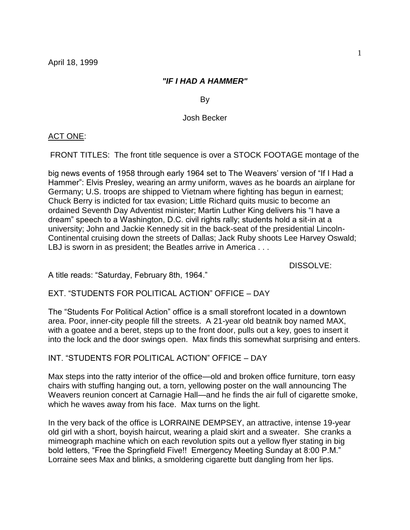# *"IF I HAD A HAMMER"*

By

## Josh Becker

ACT ONE:

FRONT TITLES: The front title sequence is over a STOCK FOOTAGE montage of the

big news events of 1958 through early 1964 set to The Weavers' version of "If I Had a Hammer": Elvis Presley, wearing an army uniform, waves as he boards an airplane for Germany; U.S. troops are shipped to Vietnam where fighting has begun in earnest; Chuck Berry is indicted for tax evasion; Little Richard quits music to become an ordained Seventh Day Adventist minister; Martin Luther King delivers his "I have a dream" speech to a Washington, D.C. civil rights rally; students hold a sit-in at a university; John and Jackie Kennedy sit in the back-seat of the presidential Lincoln-Continental cruising down the streets of Dallas; Jack Ruby shoots Lee Harvey Oswald; LBJ is sworn in as president; the Beatles arrive in America . . .

DISSOLVE:

A title reads: "Saturday, February 8th, 1964."

EXT. "STUDENTS FOR POLITICAL ACTION" OFFICE – DAY

The "Students For Political Action" office is a small storefront located in a downtown area. Poor, inner-city people fill the streets. A 21-year old beatnik boy named MAX, with a goatee and a beret, steps up to the front door, pulls out a key, goes to insert it into the lock and the door swings open. Max finds this somewhat surprising and enters.

INT. "STUDENTS FOR POLITICAL ACTION" OFFICE – DAY

Max steps into the ratty interior of the office—old and broken office furniture, torn easy chairs with stuffing hanging out, a torn, yellowing poster on the wall announcing The Weavers reunion concert at Carnagie Hall—and he finds the air full of cigarette smoke, which he waves away from his face. Max turns on the light.

In the very back of the office is LORRAINE DEMPSEY, an attractive, intense 19-year old girl with a short, boyish haircut, wearing a plaid skirt and a sweater. She cranks a mimeograph machine which on each revolution spits out a yellow flyer stating in big bold letters, "Free the Springfield Five!! Emergency Meeting Sunday at 8:00 P.M." Lorraine sees Max and blinks, a smoldering cigarette butt dangling from her lips.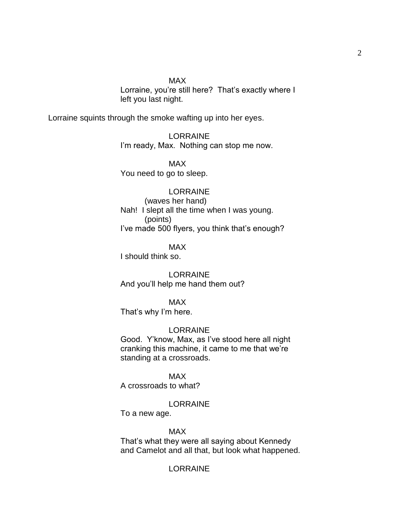MAX Lorraine, you're still here? That's exactly where I left you last night.

Lorraine squints through the smoke wafting up into her eyes.

LORRAINE I'm ready, Max. Nothing can stop me now.

MAX You need to go to sleep.

## LORRAINE

(waves her hand) Nah! I slept all the time when I was young. (points) I've made 500 flyers, you think that's enough?

MAX

I should think so.

LORRAINE And you'll help me hand them out?

## MAX

That's why I'm here.

## LORRAINE

Good. Y'know, Max, as I've stood here all night cranking this machine, it came to me that we're standing at a crossroads.

MAX A crossroads to what?

## LORRAINE

To a new age.

MAX

That's what they were all saying about Kennedy and Camelot and all that, but look what happened.

# LORRAINE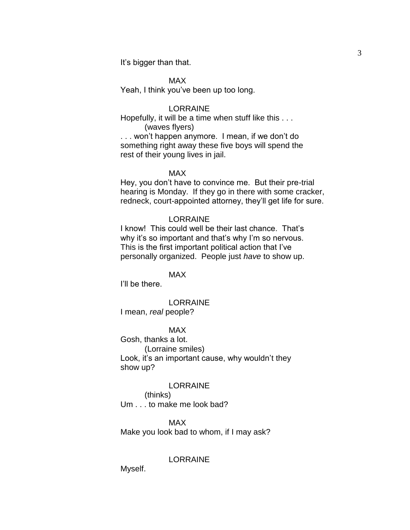It's bigger than that.

MAX Yeah, I think you've been up too long.

#### LORRAINE

Hopefully, it will be a time when stuff like this . . . (waves flyers)

. . . won't happen anymore. I mean, if we don't do something right away these five boys will spend the rest of their young lives in jail.

# MAX

Hey, you don't have to convince me. But their pre-trial hearing is Monday. If they go in there with some cracker, redneck, court-appointed attorney, they'll get life for sure.

#### LORRAINE

I know! This could well be their last chance. That's why it's so important and that's why I'm so nervous. This is the first important political action that I've personally organized. People just *have* to show up.

#### MAX

I'll be there.

#### LORRAINE

I mean, *real* people?

#### MAX

Gosh, thanks a lot. (Lorraine smiles) Look, it's an important cause, why wouldn't they show up?

#### LORRAINE

(thinks) Um . . . to make me look bad?

# MAX

Make you look bad to whom, if I may ask?

### LORRAINE

Myself.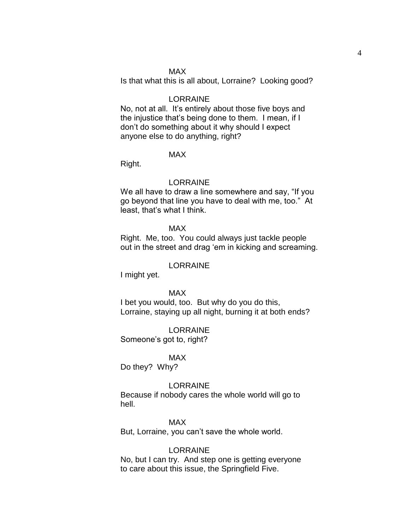## MAX

Is that what this is all about, Lorraine? Looking good?

## LORRAINE

No, not at all. It's entirely about those five boys and the injustice that's being done to them. I mean, if I don't do something about it why should I expect anyone else to do anything, right?

## MAX

Right.

## LORRAINE

We all have to draw a line somewhere and say, "If you go beyond that line you have to deal with me, too.‖ At least, that's what I think.

## MAX

Right. Me, too. You could always just tackle people out in the street and drag 'em in kicking and screaming.

## LORRAINE

I might yet.

#### MAX

I bet you would, too. But why do you do this, Lorraine, staying up all night, burning it at both ends?

LORRAINE Someone's got to, right?

#### MAX

Do they? Why?

#### LORRAINE

Because if nobody cares the whole world will go to hell.

# MAX

But, Lorraine, you can't save the whole world.

#### LORRAINE

No, but I can try. And step one is getting everyone to care about this issue, the Springfield Five.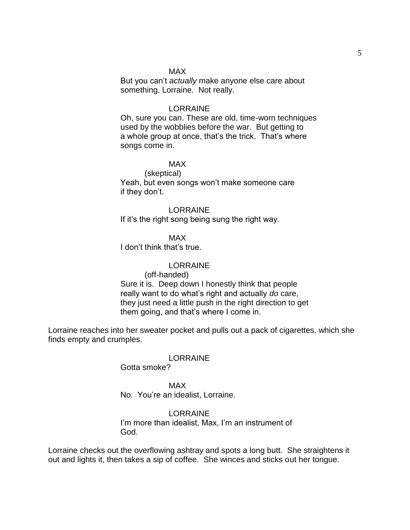## MAX

But you can't *actually* make anyone else care about something, Lorraine. Not really.

## LORRAINE

Oh, sure you can. These are old, time-worn techniques used by the wobblies before the war. But getting to a whole group at once, that's the trick. That's where songs come in.

## MAX

(skeptical) Yeah, but even songs won't make someone care if they don't.

#### LORRAINE

If it's the right song being sung the right way.

MAX

I don't think that's true.

#### LORRAINE

(off-handed) Sure it is. Deep down I honestly think that people

really want to do what's right and actually *do* care, they just need a little push in the right direction to get them going, and that's where I come in.

Lorraine reaches into her sweater pocket and pulls out a pack of cigarettes, which she finds empty and crumples.

#### LORRAINE

Gotta smoke?

## MAX

No. You're an idealist, Lorraine.

LORRAINE I'm more than idealist, Max, I'm an instrument of God.

Lorraine checks out the overflowing ashtray and spots a long butt. She straightens it out and lights it, then takes a sip of coffee. She winces and sticks out her tongue.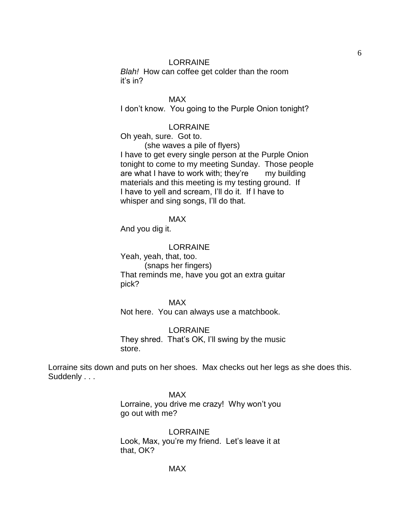# LORRAINE

*Blah!* How can coffee get colder than the room it's in?

MAX I don't know. You going to the Purple Onion tonight?

# LORRAINE

Oh yeah, sure. Got to.

(she waves a pile of flyers) I have to get every single person at the Purple Onion tonight to come to my meeting Sunday. Those people are what I have to work with; they're my building materials and this meeting is my testing ground. If I have to yell and scream, I'll do it. If I have to whisper and sing songs, I'll do that.

#### MAX

And you dig it.

# LORRAINE

Yeah, yeah, that, too. (snaps her fingers) That reminds me, have you got an extra guitar pick?

# MAX

Not here. You can always use a matchbook.

LORRAINE They shred. That's OK, I'll swing by the music store.

Lorraine sits down and puts on her shoes. Max checks out her legs as she does this. Suddenly . . .

## MAX

Lorraine, you drive me crazy! Why won't you go out with me?

LORRAINE Look, Max, you're my friend. Let's leave it at that, OK?

#### MAX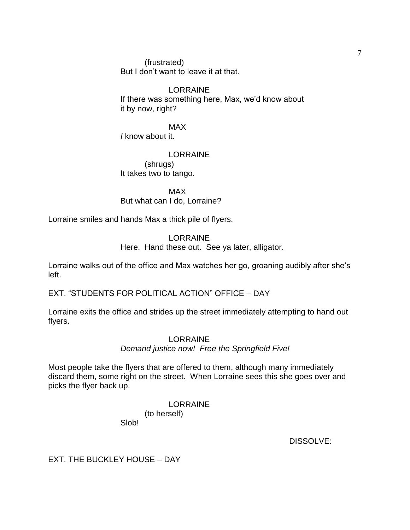(frustrated) But I don't want to leave it at that.

LORRAINE If there was something here, Max, we'd know about it by now, right?

MAX

*I* know about it.

**LORRAINE** 

(shrugs) It takes two to tango.

MAX But what can I do, Lorraine?

Lorraine smiles and hands Max a thick pile of flyers.

LORRAINE

Here. Hand these out. See ya later, alligator.

Lorraine walks out of the office and Max watches her go, groaning audibly after she's left.

EXT. "STUDENTS FOR POLITICAL ACTION" OFFICE - DAY

Lorraine exits the office and strides up the street immediately attempting to hand out flyers.

LORRAINE

*Demand justice now! Free the Springfield Five!*

Most people take the flyers that are offered to them, although many immediately discard them, some right on the street. When Lorraine sees this she goes over and picks the flyer back up.

> LORRAINE (to herself)

> > DISSOLVE:

EXT. THE BUCKLEY HOUSE – DAY

Slob!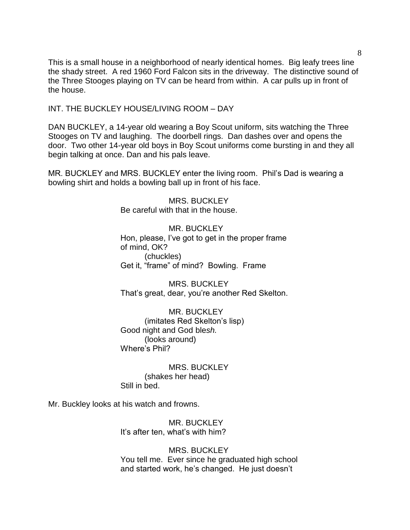This is a small house in a neighborhood of nearly identical homes. Big leafy trees line the shady street. A red 1960 Ford Falcon sits in the driveway. The distinctive sound of the Three Stooges playing on TV can be heard from within. A car pulls up in front of the house.

INT. THE BUCKLEY HOUSE/LIVING ROOM – DAY

DAN BUCKLEY, a 14-year old wearing a Boy Scout uniform, sits watching the Three Stooges on TV and laughing. The doorbell rings. Dan dashes over and opens the door. Two other 14-year old boys in Boy Scout uniforms come bursting in and they all begin talking at once. Dan and his pals leave.

MR. BUCKLEY and MRS. BUCKLEY enter the living room. Phil's Dad is wearing a bowling shirt and holds a bowling ball up in front of his face.

> MRS. BUCKLEY Be careful with that in the house.

MR. BUCKLEY Hon, please, I've got to get in the proper frame of mind, OK? (chuckles) Get it, "frame" of mind? Bowling. Frame

MRS. BUCKLEY That's great, dear, you're another Red Skelton.

MR. BUCKLEY (imitates Red Skelton's lisp) Good night and God ble*sh.* (looks around) Where's Phil?

MRS. BUCKLEY (shakes her head) Still in bed.

Mr. Buckley looks at his watch and frowns.

MR. BUCKLEY It's after ten, what's with him?

MRS. BUCKLEY You tell me. Ever since he graduated high school and started work, he's changed. He just doesn't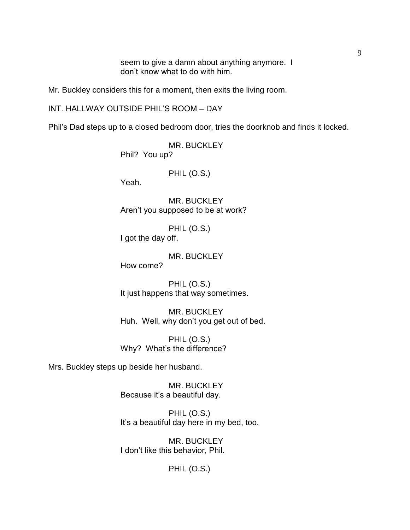seem to give a damn about anything anymore. I don't know what to do with him.

Mr. Buckley considers this for a moment, then exits the living room.

INT. HALLWAY OUTSIDE PHIL'S ROOM – DAY

Phil's Dad steps up to a closed bedroom door, tries the doorknob and finds it locked.

MR. BUCKLEY Phil? You up?

PHIL (O.S.)

Yeah.

MR. BUCKLEY Aren't you supposed to be at work?

PHIL (O.S.) I got the day off.

MR. BUCKLEY

How come?

PHIL (O.S.) It just happens that way sometimes.

MR. BUCKLEY Huh. Well, why don't you get out of bed.

PHIL (O.S.) Why? What's the difference?

Mrs. Buckley steps up beside her husband.

MR. BUCKLEY Because it's a beautiful day.

PHIL (O.S.) It's a beautiful day here in my bed, too.

MR. BUCKLEY I don't like this behavior, Phil.

# PHIL (O.S.)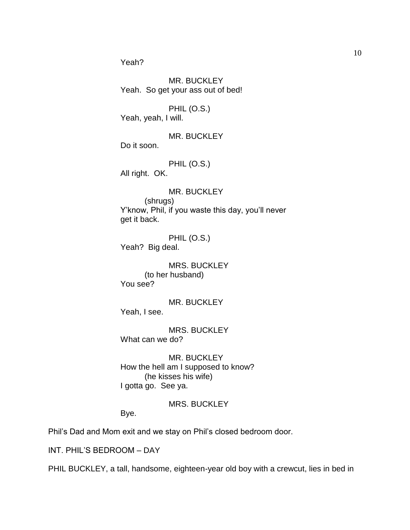Yeah?

MR. BUCKLEY Yeah. So get your ass out of bed!

PHIL (O.S.) Yeah, yeah, I will.

MR. BUCKLEY Do it soon.

PHIL (O.S.) All right. OK.

MR. BUCKLEY (shrugs) Y'know, Phil, if you waste this day, you'll never get it back.

PHIL (O.S.) Yeah? Big deal.

MRS. BUCKLEY (to her husband) You see?

MR. BUCKLEY Yeah, I see.

MRS. BUCKLEY What can we do?

MR. BUCKLEY How the hell am I supposed to know? (he kisses his wife) I gotta go. See ya.

MRS. BUCKLEY

Bye.

Phil's Dad and Mom exit and we stay on Phil's closed bedroom door.

INT. PHIL'S BEDROOM – DAY

PHIL BUCKLEY, a tall, handsome, eighteen-year old boy with a crewcut, lies in bed in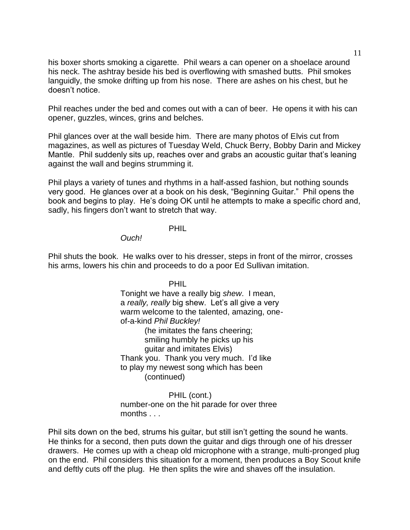his boxer shorts smoking a cigarette. Phil wears a can opener on a shoelace around his neck. The ashtray beside his bed is overflowing with smashed butts. Phil smokes languidly, the smoke drifting up from his nose. There are ashes on his chest, but he doesn't notice.

Phil reaches under the bed and comes out with a can of beer. He opens it with his can opener, guzzles, winces, grins and belches.

Phil glances over at the wall beside him. There are many photos of Elvis cut from magazines, as well as pictures of Tuesday Weld, Chuck Berry, Bobby Darin and Mickey Mantle. Phil suddenly sits up, reaches over and grabs an acoustic guitar that's leaning against the wall and begins strumming it.

Phil plays a variety of tunes and rhythms in a half-assed fashion, but nothing sounds very good. He glances over at a book on his desk, "Beginning Guitar." Phil opens the book and begins to play. He's doing OK until he attempts to make a specific chord and, sadly, his fingers don't want to stretch that way.

#### PHIL

*Ouch!*

Phil shuts the book. He walks over to his dresser, steps in front of the mirror, crosses his arms, lowers his chin and proceeds to do a poor Ed Sullivan imitation.

PHIL

Tonight we have a really big *shew*. I mean, a *really, really* big shew. Let's all give a very warm welcome to the talented, amazing, oneof-a-kind *Phil Buckley!* (he imitates the fans cheering; smiling humbly he picks up his guitar and imitates Elvis) Thank you. Thank you very much. I'd like to play my newest song which has been (continued)

PHIL (cont.) number-one on the hit parade for over three months . . .

Phil sits down on the bed, strums his guitar, but still isn't getting the sound he wants. He thinks for a second, then puts down the guitar and digs through one of his dresser drawers. He comes up with a cheap old microphone with a strange, multi-pronged plug on the end. Phil considers this situation for a moment, then produces a Boy Scout knife and deftly cuts off the plug. He then splits the wire and shaves off the insulation.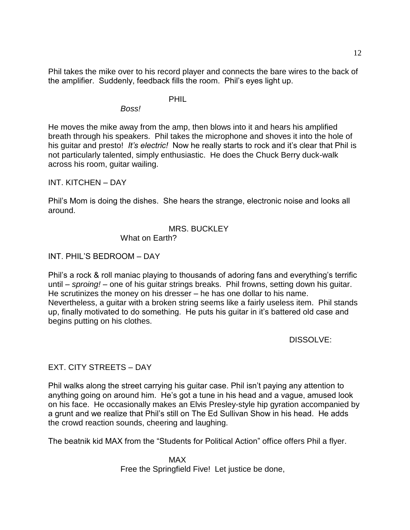Phil takes the mike over to his record player and connects the bare wires to the back of the amplifier. Suddenly, feedback fills the room. Phil's eyes light up.

PHIL

*Boss!*

He moves the mike away from the amp, then blows into it and hears his amplified breath through his speakers. Phil takes the microphone and shoves it into the hole of his guitar and presto! *It's electric!* Now he really starts to rock and it's clear that Phil is not particularly talented, simply enthusiastic. He does the Chuck Berry duck-walk across his room, guitar wailing.

INT. KITCHEN – DAY

Phil's Mom is doing the dishes. She hears the strange, electronic noise and looks all around.

# MRS. BUCKLEY

What on Earth?

INT. PHIL'S BEDROOM – DAY

Phil's a rock & roll maniac playing to thousands of adoring fans and everything's terrific until – *sproing! –* one of his guitar strings breaks. Phil frowns, setting down his guitar. He scrutinizes the money on his dresser – he has one dollar to his name. Nevertheless, a guitar with a broken string seems like a fairly useless item. Phil stands up, finally motivated to do something. He puts his guitar in it's battered old case and begins putting on his clothes.

DISSOLVE:

# EXT. CITY STREETS – DAY

Phil walks along the street carrying his guitar case. Phil isn't paying any attention to anything going on around him. He's got a tune in his head and a vague, amused look on his face. He occasionally makes an Elvis Presley-style hip gyration accompanied by a grunt and we realize that Phil's still on The Ed Sullivan Show in his head. He adds the crowd reaction sounds, cheering and laughing.

The beatnik kid MAX from the "Students for Political Action" office offers Phil a flyer.

MAX Free the Springfield Five! Let justice be done,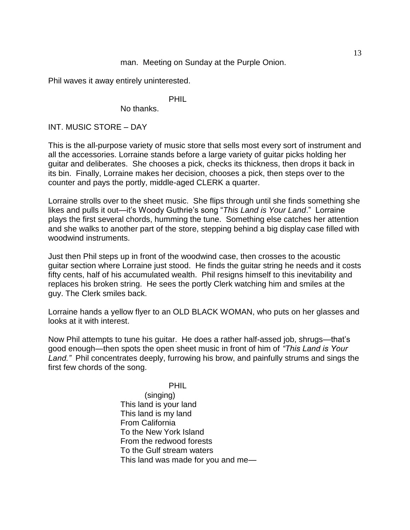# man. Meeting on Sunday at the Purple Onion.

Phil waves it away entirely uninterested.

# PHIL

No thanks.

INT. MUSIC STORE – DAY

This is the all-purpose variety of music store that sells most every sort of instrument and all the accessories. Lorraine stands before a large variety of guitar picks holding her guitar and deliberates. She chooses a pick, checks its thickness, then drops it back in its bin. Finally, Lorraine makes her decision, chooses a pick, then steps over to the counter and pays the portly, middle-aged CLERK a quarter.

Lorraine strolls over to the sheet music. She flips through until she finds something she likes and pulls it out—it's Woody Guthrie's song "This Land is Your Land." Lorraine plays the first several chords, humming the tune. Something else catches her attention and she walks to another part of the store, stepping behind a big display case filled with woodwind instruments.

Just then Phil steps up in front of the woodwind case, then crosses to the acoustic guitar section where Lorraine just stood. He finds the guitar string he needs and it costs fifty cents, half of his accumulated wealth. Phil resigns himself to this inevitability and replaces his broken string. He sees the portly Clerk watching him and smiles at the guy. The Clerk smiles back.

Lorraine hands a yellow flyer to an OLD BLACK WOMAN, who puts on her glasses and looks at it with interest.

Now Phil attempts to tune his guitar. He does a rather half-assed job, shrugs—that's good enough—then spots the open sheet music in front of him of *"This Land is Your Land."* Phil concentrates deeply, furrowing his brow, and painfully strums and sings the first few chords of the song.

# PHIL

(singing) This land is your land This land is my land From California To the New York Island From the redwood forests To the Gulf stream waters This land was made for you and me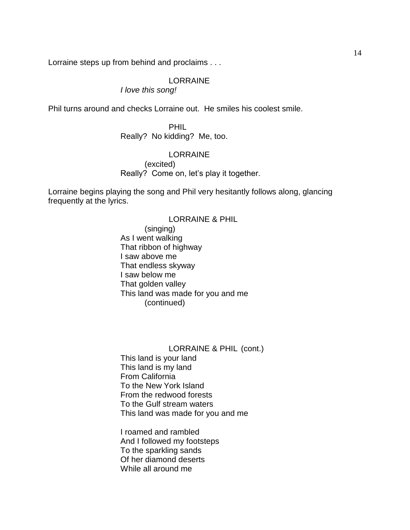Lorraine steps up from behind and proclaims . . .

### LORRAINE

## *I love this song!*

Phil turns around and checks Lorraine out. He smiles his coolest smile.

PHIL Really? No kidding? Me, too.

# **LORRAINE** (excited) Really? Come on, let's play it together.

Lorraine begins playing the song and Phil very hesitantly follows along, glancing frequently at the lyrics.

## LORRAINE & PHIL

(singing) As I went walking That ribbon of highway I saw above me That endless skyway I saw below me That golden valley This land was made for you and me (continued)

#### LORRAINE & PHIL (cont.)

This land is your land This land is my land From California To the New York Island From the redwood forests To the Gulf stream waters This land was made for you and me

I roamed and rambled And I followed my footsteps To the sparkling sands Of her diamond deserts While all around me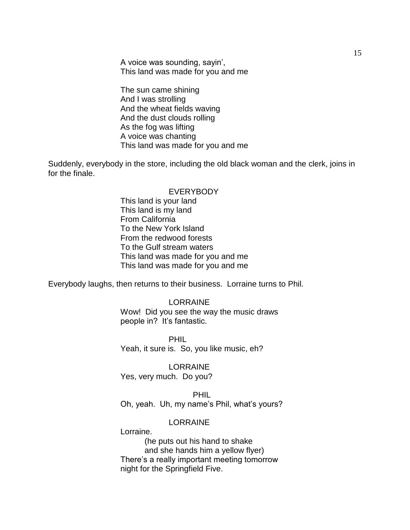A voice was sounding, sayin', This land was made for you and me

The sun came shining And I was strolling And the wheat fields waving And the dust clouds rolling As the fog was lifting A voice was chanting This land was made for you and me

Suddenly, everybody in the store, including the old black woman and the clerk, joins in for the finale.

## **EVERYBODY**

This land is your land This land is my land From California To the New York Island From the redwood forests To the Gulf stream waters This land was made for you and me This land was made for you and me

Everybody laughs, then returns to their business. Lorraine turns to Phil.

LORRAINE Wow! Did you see the way the music draws people in? It's fantastic.

PHIL Yeah, it sure is. So, you like music, eh?

LORRAINE Yes, very much. Do you?

PHIL Oh, yeah. Uh, my name's Phil, what's yours?

## LORRAINE

Lorraine. (he puts out his hand to shake and she hands him a yellow flyer) There's a really important meeting tomorrow night for the Springfield Five.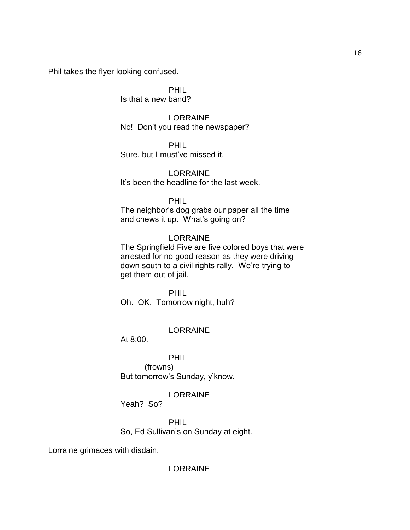Phil takes the flyer looking confused.

PHIL Is that a new band?

LORRAINE No! Don't you read the newspaper?

PHIL Sure, but I must've missed it.

LORRAINE It's been the headline for the last week.

PHIL

The neighbor's dog grabs our paper all the time and chews it up. What's going on?

# LORRAINE

The Springfield Five are five colored boys that were arrested for no good reason as they were driving down south to a civil rights rally. We're trying to get them out of jail.

PHIL Oh. OK. Tomorrow night, huh?

# LORRAINE

At 8:00.

PHIL (frowns) But tomorrow's Sunday, y'know.

# LORRAINE

Yeah? So?

PHIL So, Ed Sullivan's on Sunday at eight.

Lorraine grimaces with disdain.

# LORRAINE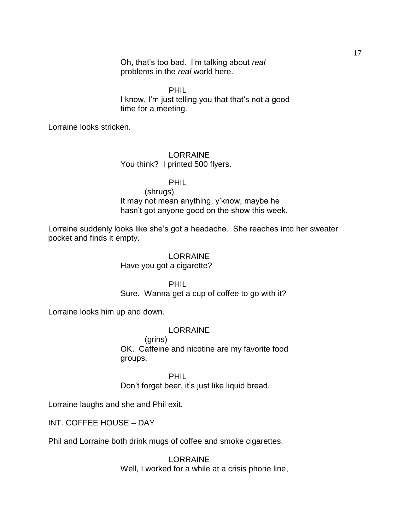Oh, that's too bad. I'm talking about *real*  problems in the *real* world here.

PHIL I know, I'm just telling you that that's not a good time for a meeting.

Lorraine looks stricken.

#### LORRAINE

You think? I printed 500 flyers.

PHIL

(shrugs) It may not mean anything, y'know, maybe he hasn't got anyone good on the show this week.

Lorraine suddenly looks like she's got a headache. She reaches into her sweater pocket and finds it empty.

# LORRAINE Have you got a cigarette?

PHIL Sure. Wanna get a cup of coffee to go with it?

Lorraine looks him up and down.

# LORRAINE

(grins) OK. Caffeine and nicotine are my favorite food groups.

PHIL Don't forget beer, it's just like liquid bread.

Lorraine laughs and she and Phil exit.

INT. COFFEE HOUSE – DAY

Phil and Lorraine both drink mugs of coffee and smoke cigarettes.

LORRAINE Well, I worked for a while at a crisis phone line,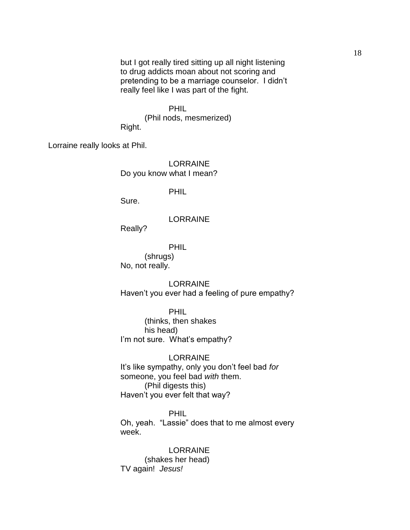but I got really tired sitting up all night listening to drug addicts moan about not scoring and pretending to be a marriage counselor. I didn't really feel like I was part of the fight.

PHIL (Phil nods, mesmerized) Right.

Lorraine really looks at Phil.

LORRAINE Do you know what I mean?

PHIL

Sure.

LORRAINE

Really?

PHIL (shrugs) No, not really.

**LORRAINE** Haven't you ever had a feeling of pure empathy?

PHIL (thinks, then shakes his head) I'm not sure. What's empathy?

**LORRAINE** It's like sympathy, only you don't feel bad *for* someone, you feel bad *with* them. (Phil digests this) Haven't you ever felt that way?

PHIL Oh, yeah. "Lassie" does that to me almost every week.

LORRAINE (shakes her head) TV again! *Jesus!*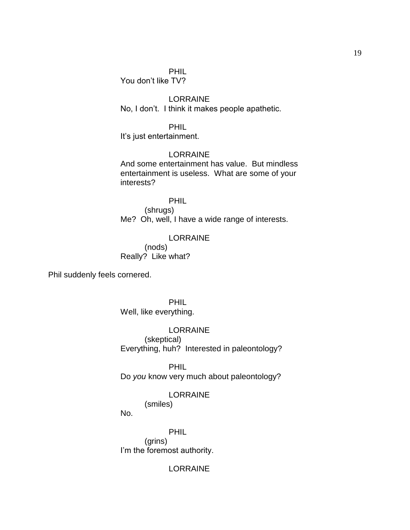PHIL

You don't like TV?

# LORRAINE

No, I don't. I think it makes people apathetic.

# PHIL

It's just entertainment.

# LORRAINE

And some entertainment has value. But mindless entertainment is useless. What are some of your interests?

PHIL (shrugs) Me? Oh, well, I have a wide range of interests.

LORRAINE (nods) Really? Like what?

Phil suddenly feels cornered.

PHIL Well, like everything.

LORRAINE (skeptical) Everything, huh? Interested in paleontology?

PHIL Do *you* know very much about paleontology?

# LORRAINE

(smiles)

No.

PHIL (grins) I'm the foremost authority.

# LORRAINE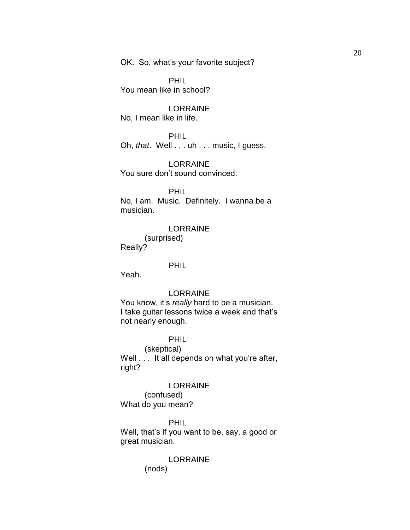OK. So, what's your favorite subject?

PHIL You mean like in school?

LORRAINE No, I mean like in life.

PHIL Oh, *that*. Well . . . uh . . . music, I guess.

LORRAINE You sure don't sound convinced.

PHIL No, I am. Music. Definitely. I wanna be a musician.

LORRAINE

(surprised)

Really?

# PHIL

Yeah.

#### LORRAINE

You know, it's *really* hard to be a musician. I take guitar lessons twice a week and that's not nearly enough.

PHIL

(skeptical) Well . . . It all depends on what you're after, right?

#### LORRAINE

(confused) What do you mean?

PHIL Well, that's if you want to be, say, a good or great musician.

LORRAINE

(nods)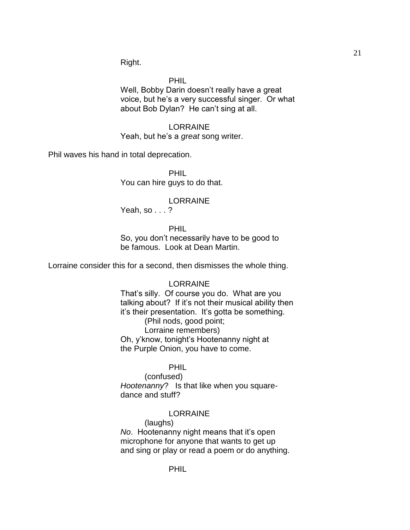Right.

PHIL Well, Bobby Darin doesn't really have a great voice, but he's a very successful singer. Or what about Bob Dylan? He can't sing at all.

# LORRAINE

Yeah, but he's a *great* song writer.

Phil waves his hand in total deprecation.

PHIL You can hire guys to do that.

#### LORRAINE

Yeah, so . . . ?

#### PHIL

So, you don't necessarily have to be good to be famous. Look at Dean Martin.

Lorraine consider this for a second, then dismisses the whole thing.

#### LORRAINE

That's silly. Of course you do. What are you talking about? If it's not their musical ability then it's their presentation. It's gotta be something. (Phil nods, good point; Lorraine remembers) Oh, y'know, tonight's Hootenanny night at the Purple Onion, you have to come.

## PHIL

(confused) *Hootenanny*? Is that like when you squaredance and stuff?

# LORRAINE

(laughs)

*No*. Hootenanny night means that it's open microphone for anyone that wants to get up and sing or play or read a poem or do anything.

PHIL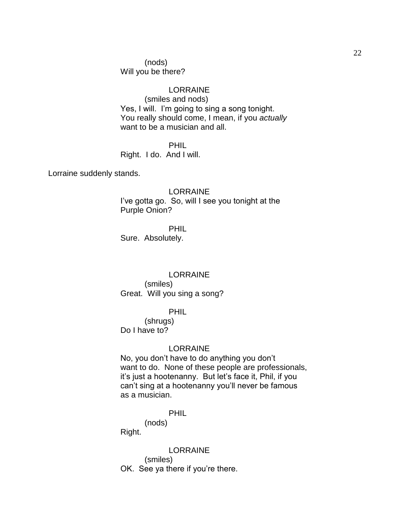(nods) Will you be there?

# LORRAINE

(smiles and nods) Yes, I will. I'm going to sing a song tonight. You really should come, I mean, if you *actually* want to be a musician and all.

PHIL

Right. I do. And I will.

Lorraine suddenly stands.

# **LORRAINE**

I've gotta go. So, will I see you tonight at the Purple Onion?

PHIL

Sure. Absolutely.

LORRAINE (smiles) Great. Will you sing a song?

PHIL

(shrugs) Do I have to?

## LORRAINE

No, you don't have to do anything you don't want to do. None of these people are professionals, it's just a hootenanny. But let's face it, Phil, if you can't sing at a hootenanny you'll never be famous as a musician.

PHIL

(nods)

Right.

LORRAINE

(smiles)

OK. See ya there if you're there.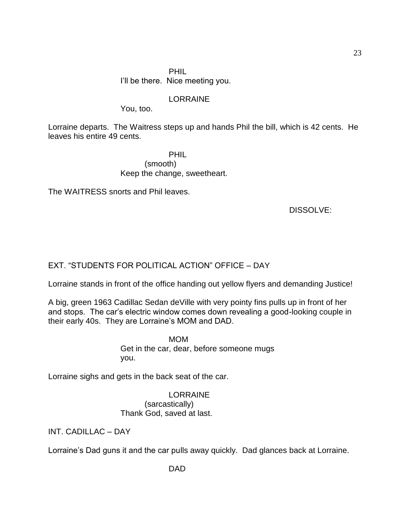# LORRAINE

You, too.

Lorraine departs. The Waitress steps up and hands Phil the bill, which is 42 cents. He leaves his entire 49 cents.

> PHIL (smooth) Keep the change, sweetheart.

The WAITRESS snorts and Phil leaves.

DISSOLVE:

# EXT. "STUDENTS FOR POLITICAL ACTION" OFFICE - DAY

Lorraine stands in front of the office handing out yellow flyers and demanding Justice!

A big, green 1963 Cadillac Sedan deVille with very pointy fins pulls up in front of her and stops. The car's electric window comes down revealing a good-looking couple in their early 40s. They are Lorraine's MOM and DAD.

> MOM Get in the car, dear, before someone mugs you.

Lorraine sighs and gets in the back seat of the car.

LORRAINE (sarcastically) Thank God, saved at last.

INT. CADILLAC – DAY

Lorraine's Dad guns it and the car pulls away quickly. Dad glances back at Lorraine.

23

DAD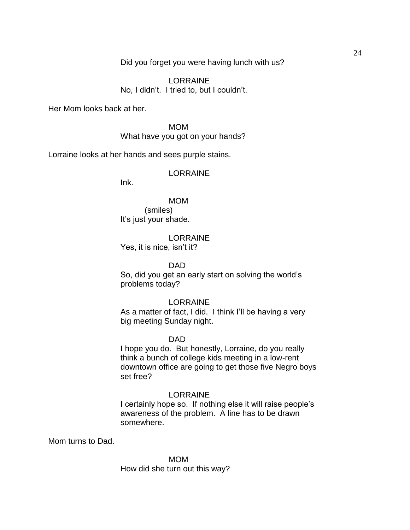Did you forget you were having lunch with us?

LORRAINE No, I didn't. I tried to, but I couldn't.

Her Mom looks back at her.

MOM What have you got on your hands?

Lorraine looks at her hands and sees purple stains.

# LORRAINE

Ink.

MOM (smiles) It's just your shade.

## LORRAINE

Yes, it is nice, isn't it?

# DAD

So, did you get an early start on solving the world's problems today?

# LORRAINE

As a matter of fact, I did. I think I'll be having a very big meeting Sunday night.

# DAD

I hope you do. But honestly, Lorraine, do you really think a bunch of college kids meeting in a low-rent downtown office are going to get those five Negro boys set free?

# LORRAINE

I certainly hope so. If nothing else it will raise people's awareness of the problem. A line has to be drawn somewhere.

Mom turns to Dad.

MOM How did she turn out this way?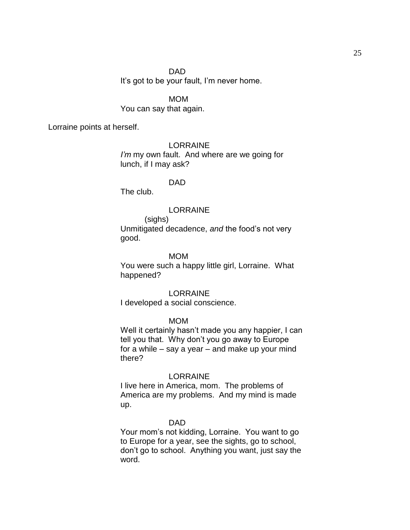# DAD It's got to be your fault, I'm never home.

MOM You can say that again.

Lorraine points at herself.

# LORRAINE

*I'm* my own fault. And where are we going for lunch, if I may ask?

#### DAD

The club.

# LORRAINE

(sighs) Unmitigated decadence, *and* the food's not very good.

## MOM

You were such a happy little girl, Lorraine. What happened?

## LORRAINE

I developed a social conscience.

## MOM

Well it certainly hasn't made you any happier, I can tell you that. Why don't you go away to Europe for a while – say a year – and make up your mind there?

#### LORRAINE

I live here in America, mom. The problems of America are my problems. And my mind is made up.

#### DAD

Your mom's not kidding, Lorraine. You want to go to Europe for a year, see the sights, go to school, don't go to school. Anything you want, just say the word.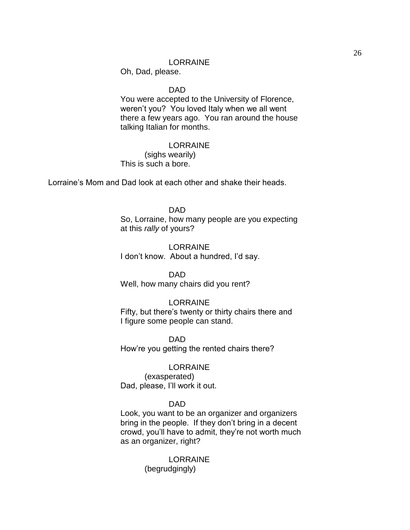### LORRAINE

Oh, Dad, please.

## DAD

You were accepted to the University of Florence, weren't you? You loved Italy when we all went there a few years ago. You ran around the house talking Italian for months.

#### LORRAINE

(sighs wearily) This is such a bore.

Lorraine's Mom and Dad look at each other and shake their heads.

# DAD

So, Lorraine, how many people are you expecting at this *rally* of yours?

# LORRAINE

I don't know. About a hundred, I'd say.

# DAD

Well, how many chairs did you rent?

#### LORRAINE

Fifty, but there's twenty or thirty chairs there and I figure some people can stand.

DAD

How're you getting the rented chairs there?

#### LORRAINE

(exasperated) Dad, please, I'll work it out.

#### DAD

Look, you want to be an organizer and organizers bring in the people. If they don't bring in a decent crowd, you'll have to admit, they're not worth much as an organizer, right?

> LORRAINE (begrudgingly)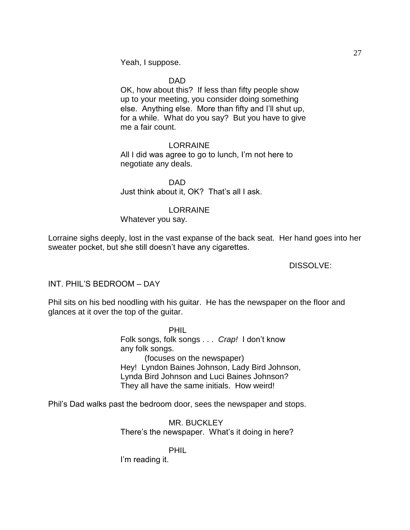Yeah, I suppose.

# DAD

 OK, how about this? If less than fifty people show up to your meeting, you consider doing something else. Anything else. More than fifty and I'll shut up, for a while. What do you say? But you have to give me a fair count.

# LORRAINE

All I did was agree to go to lunch, I'm not here to negotiate any deals.

DAD Just think about it, OK? That's all I ask.

## LORRAINE

Whatever you say.

Lorraine sighs deeply, lost in the vast expanse of the back seat. Her hand goes into her sweater pocket, but she still doesn't have any cigarettes.

# DISSOLVE:

INT. PHIL'S BEDROOM – DAY

Phil sits on his bed noodling with his guitar. He has the newspaper on the floor and glances at it over the top of the guitar.

> PHIL Folk songs, folk songs . . . *Crap!* I don't know any folk songs. (focuses on the newspaper) Hey! Lyndon Baines Johnson, Lady Bird Johnson, Lynda Bird Johnson and Luci Baines Johnson? They all have the same initials. How weird!

Phil's Dad walks past the bedroom door, sees the newspaper and stops.

MR. BUCKLEY There's the newspaper. What's it doing in here?

PHIL

I'm reading it.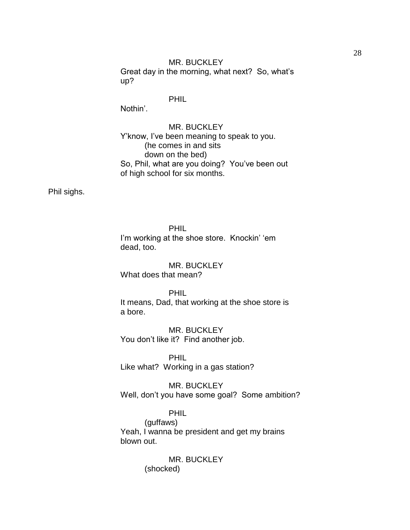MR. BUCKLEY Great day in the morning, what next? So, what's up?

PHIL

Nothin'.

MR. BUCKLEY Y'know, I've been meaning to speak to you. (he comes in and sits down on the bed) So, Phil, what are you doing? You've been out of high school for six months.

Phil sighs.

PHIL

I'm working at the shoe store. Knockin' 'em dead, too.

MR. BUCKLEY What does that mean?

PHIL It means, Dad, that working at the shoe store is

a bore.

MR. BUCKLEY You don't like it? Find another job.

PHIL Like what? Working in a gas station?

MR. BUCKLEY Well, don't you have some goal? Some ambition?

PHIL (guffaws) Yeah, I wanna be president and get my brains blown out.

> MR. BUCKLEY (shocked)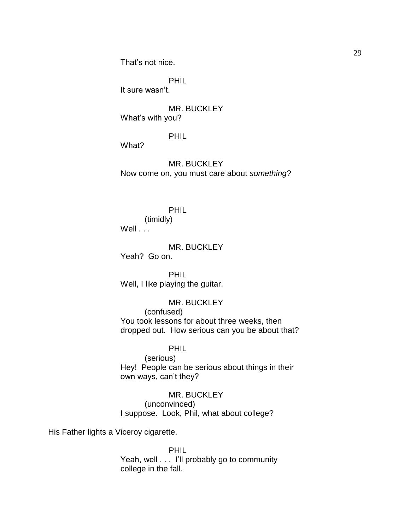That's not nice.

PHIL

It sure wasn't.

MR. BUCKLEY What's with you?

PHIL

What?

MR. BUCKLEY Now come on, you must care about *something*?

PHIL

(timidly)

Well . . .

MR. BUCKLEY Yeah? Go on.

PHIL Well, I like playing the guitar.

MR. BUCKLEY

(confused) You took lessons for about three weeks, then dropped out. How serious can you be about that?

PHIL

(serious) Hey! People can be serious about things in their own ways, can't they?

MR. BUCKLEY (unconvinced) I suppose. Look, Phil, what about college?

His Father lights a Viceroy cigarette.

PHIL Yeah, well . . . I'll probably go to community college in the fall.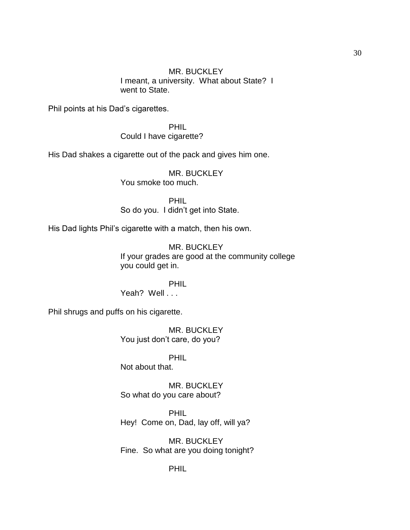MR. BUCKLEY I meant, a university. What about State? I went to State.

Phil points at his Dad's cigarettes.

PHIL Could I have cigarette?

His Dad shakes a cigarette out of the pack and gives him one.

MR. BUCKLEY You smoke too much.

PHIL So do you. I didn't get into State.

His Dad lights Phil's cigarette with a match, then his own.

MR. BUCKLEY If your grades are good at the community college you could get in.

PHIL Yeah? Well . . .

Phil shrugs and puffs on his cigarette.

MR. BUCKLEY You just don't care, do you?

PHIL Not about that.

MR. BUCKLEY So what do you care about?

PHIL Hey! Come on, Dad, lay off, will ya?

MR. BUCKLEY Fine. So what are you doing tonight?

PHIL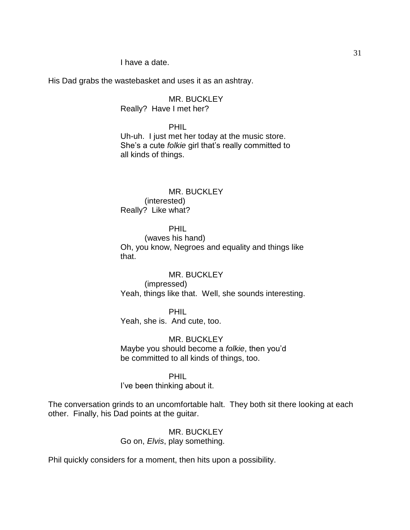I have a date.

His Dad grabs the wastebasket and uses it as an ashtray.

# MR. BUCKLEY

Really? Have I met her?

# PHIL

Uh-uh. I just met her today at the music store. She's a cute *folkie* girl that's really committed to all kinds of things.

# MR. BUCKLEY

(interested) Really? Like what?

# PHIL

(waves his hand) Oh, you know, Negroes and equality and things like that.

# MR. BUCKLEY

(impressed) Yeah, things like that. Well, she sounds interesting.

# PHIL Yeah, she is. And cute, too.

MR. BUCKLEY Maybe you should become a *folkie*, then you'd be committed to all kinds of things, too.

PHIL I've been thinking about it.

The conversation grinds to an uncomfortable halt. They both sit there looking at each other. Finally, his Dad points at the guitar.

# MR. BUCKLEY Go on, *Elvis*, play something.

Phil quickly considers for a moment, then hits upon a possibility.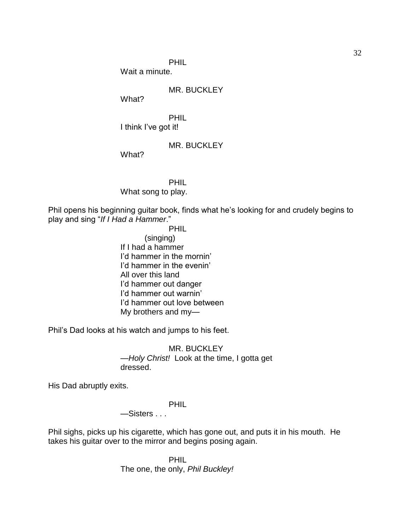PHIL

Wait a minute.

MR. BUCKLEY

What?

PHIL I think I've got it!

MR. BUCKLEY

What?

PHIL What song to play.

Phil opens his beginning guitar book, finds what he's looking for and crudely begins to play and sing "If I Had a Hammer."

PHIL

(singing) If I had a hammer I'd hammer in the mornin' I'd hammer in the evenin' All over this land I'd hammer out danger I'd hammer out warnin' I'd hammer out love between My brothers and my—

Phil's Dad looks at his watch and jumps to his feet.

MR. BUCKLEY —*Holy Christ!* Look at the time, I gotta get dressed.

His Dad abruptly exits.

PHIL

—Sisters . . .

Phil sighs, picks up his cigarette, which has gone out, and puts it in his mouth. He takes his guitar over to the mirror and begins posing again.

> PHIL The one, the only, *Phil Buckley!*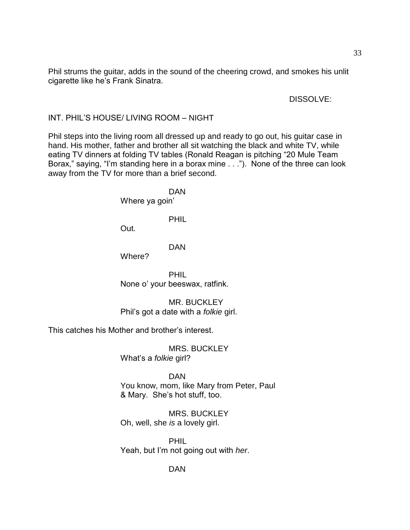Phil strums the guitar, adds in the sound of the cheering crowd, and smokes his unlit cigarette like he's Frank Sinatra.

DISSOLVE:

# INT. PHIL'S HOUSE/ LIVING ROOM – NIGHT

Phil steps into the living room all dressed up and ready to go out, his guitar case in hand. His mother, father and brother all sit watching the black and white TV, while eating TV dinners at folding TV tables (Ronald Reagan is pitching "20 Mule Team Borax," saying, "I'm standing here in a borax mine . . ."). None of the three can look away from the TV for more than a brief second.

> DAN Where ya goin'

> > PHIL

Out.

DAN

Where?

PHIL None o' your beeswax, ratfink.

MR. BUCKLEY Phil's got a date with a *folkie* girl.

This catches his Mother and brother's interest.

MRS. BUCKLEY What's a *folkie* girl?

DAN You know, mom, like Mary from Peter, Paul & Mary. She's hot stuff, too.

MRS. BUCKLEY Oh, well, she *is* a lovely girl.

PHIL Yeah, but I'm not going out with *her*.

DAN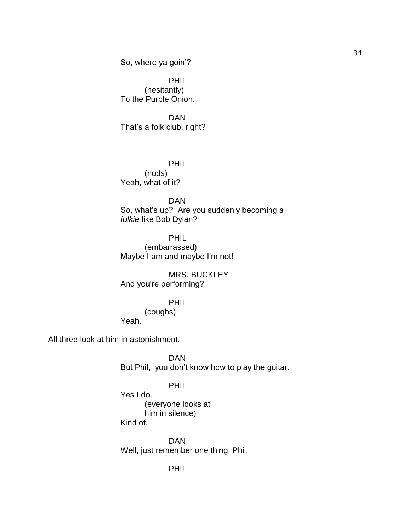So, where ya goin'?

PHIL (hesitantly) To the Purple Onion.

DAN That's a folk club, right?

PHIL (nods) Yeah, what of it?

DAN So, what's up? Are you suddenly becoming a *folkie* like Bob Dylan?

PHIL (embarrassed) Maybe I am and maybe I'm not!

MRS. BUCKLEY And you're performing?

## PHIL

(coughs)

Yeah.

All three look at him in astonishment.

DAN But Phil, you don't know how to play the guitar.

# PHIL

Yes I do. (everyone looks at him in silence)

Kind of.

DAN Well, just remember one thing, Phil.

PHIL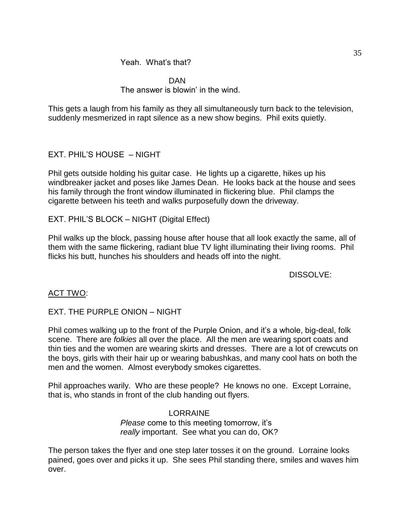# Yeah. What's that?

# DAN The answer is blowin' in the wind.

This gets a laugh from his family as they all simultaneously turn back to the television, suddenly mesmerized in rapt silence as a new show begins. Phil exits quietly.

# EXT. PHIL'S HOUSE – NIGHT

Phil gets outside holding his guitar case. He lights up a cigarette, hikes up his windbreaker jacket and poses like James Dean. He looks back at the house and sees his family through the front window illuminated in flickering blue. Phil clamps the cigarette between his teeth and walks purposefully down the driveway.

# EXT. PHIL'S BLOCK – NIGHT (Digital Effect)

Phil walks up the block, passing house after house that all look exactly the same, all of them with the same flickering, radiant blue TV light illuminating their living rooms. Phil flicks his butt, hunches his shoulders and heads off into the night.

# DISSOLVE:

ACT TWO:

# EXT. THE PURPLE ONION – NIGHT

Phil comes walking up to the front of the Purple Onion, and it's a whole, big-deal, folk scene. There are *folkies* all over the place. All the men are wearing sport coats and thin ties and the women are wearing skirts and dresses. There are a lot of crewcuts on the boys, girls with their hair up or wearing babushkas, and many cool hats on both the men and the women. Almost everybody smokes cigarettes.

Phil approaches warily. Who are these people? He knows no one. Except Lorraine, that is, who stands in front of the club handing out flyers.

> LORRAINE *Please* come to this meeting tomorrow, it's *really* important. See what you can do, OK?

The person takes the flyer and one step later tosses it on the ground. Lorraine looks pained, goes over and picks it up. She sees Phil standing there, smiles and waves him over.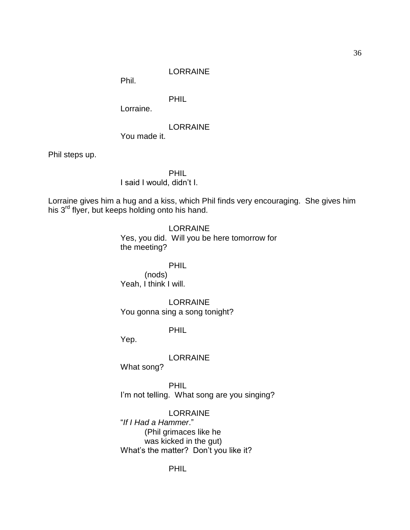# LORRAINE

Phil.

PHIL

Lorraine.

LORRAINE

You made it.

Phil steps up.

PHIL I said I would, didn't I.

Lorraine gives him a hug and a kiss, which Phil finds very encouraging. She gives him his 3<sup>rd</sup> flyer, but keeps holding onto his hand.

# LORRAINE

Yes, you did. Will you be here tomorrow for the meeting?

PHIL

(nods) Yeah, I think I will.

LORRAINE You gonna sing a song tonight?

PHIL

Yep.

LORRAINE

What song?

PHIL I'm not telling. What song are you singing?

LORRAINE ―*If I Had a Hammer*.‖ (Phil grimaces like he was kicked in the gut) What's the matter? Don't you like it?

PHIL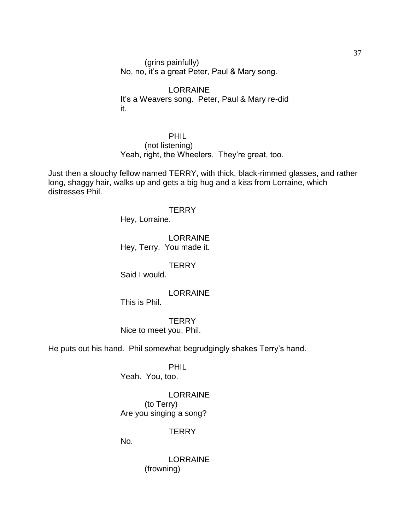(grins painfully) No, no, it's a great Peter, Paul & Mary song.

LORRAINE It's a Weavers song. Peter, Paul & Mary re-did it.

PHIL (not listening) Yeah, right, the Wheelers. They're great, too.

Just then a slouchy fellow named TERRY, with thick, black-rimmed glasses, and rather long, shaggy hair, walks up and gets a big hug and a kiss from Lorraine, which distresses Phil.

## **TERRY**

Hey, Lorraine.

LORRAINE Hey, Terry. You made it.

#### **TERRY**

Said I would.

#### LORRAINE

This is Phil.

**TERRY** Nice to meet you, Phil.

He puts out his hand. Phil somewhat begrudgingly shakes Terry's hand.

PHIL Yeah. You, too.

LORRAINE (to Terry) Are you singing a song?

**TERRY** 

No.

LORRAINE (frowning)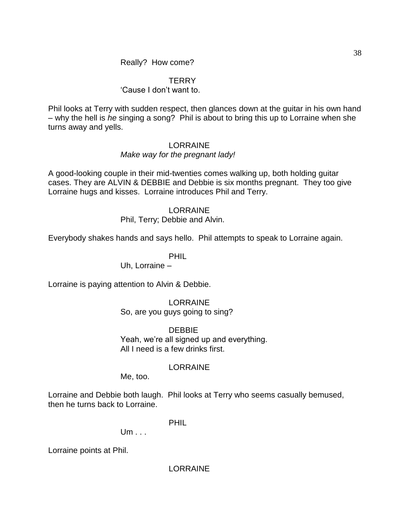# Really? How come?

# **TERRY**

# ‗Cause I don't want to.

Phil looks at Terry with sudden respect, then glances down at the guitar in his own hand – why the hell is *he* singing a song? Phil is about to bring this up to Lorraine when she turns away and yells.

## LORRAINE *Make way for the pregnant lady!*

A good-looking couple in their mid-twenties comes walking up, both holding guitar cases. They are ALVIN & DEBBIE and Debbie is six months pregnant. They too give Lorraine hugs and kisses. Lorraine introduces Phil and Terry.

# LORRAINE

Phil, Terry; Debbie and Alvin.

Everybody shakes hands and says hello. Phil attempts to speak to Lorraine again.

PHIL

Uh, Lorraine –

Lorraine is paying attention to Alvin & Debbie.

# LORRAINE So, are you guys going to sing?

DEBBIE Yeah, we're all signed up and everything. All I need is a few drinks first.

# LORRAINE

Me, too.

Lorraine and Debbie both laugh. Phil looks at Terry who seems casually bemused, then he turns back to Lorraine.

PHIL

Um . . .

Lorraine points at Phil.

LORRAINE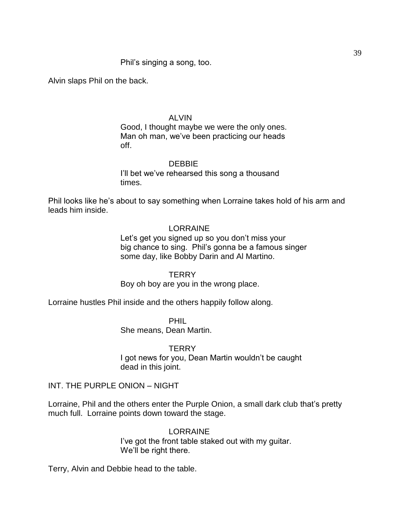## Phil's singing a song, too.

Alvin slaps Phil on the back.

# ALVIN

Good, I thought maybe we were the only ones. Man oh man, we've been practicing our heads off.

# DEBBIE

I'll bet we've rehearsed this song a thousand times.

Phil looks like he's about to say something when Lorraine takes hold of his arm and leads him inside.

# LORRAINE

Let's get you signed up so you don't miss your big chance to sing. Phil's gonna be a famous singer some day, like Bobby Darin and Al Martino.

## **TERRY**

Boy oh boy are you in the wrong place.

Lorraine hustles Phil inside and the others happily follow along.

PHIL She means, Dean Martin.

**TERRY** I got news for you, Dean Martin wouldn't be caught dead in this joint.

INT. THE PURPLE ONION – NIGHT

Lorraine, Phil and the others enter the Purple Onion, a small dark club that's pretty much full. Lorraine points down toward the stage.

> LORRAINE I've got the front table staked out with my guitar. We'll be right there.

Terry, Alvin and Debbie head to the table.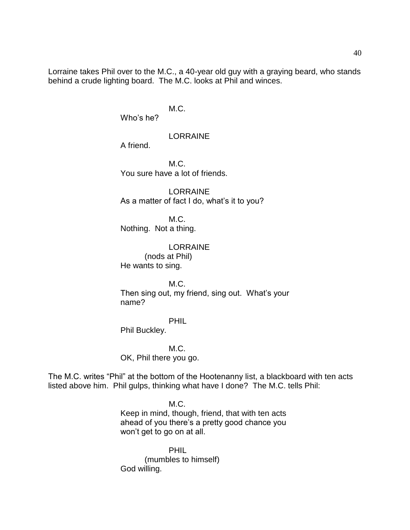Lorraine takes Phil over to the M.C., a 40-year old guy with a graying beard, who stands behind a crude lighting board. The M.C. looks at Phil and winces.

M.C.

Who's he?

# LORRAINE

A friend.

M.C. You sure have a lot of friends.

LORRAINE As a matter of fact I do, what's it to you?

M.C. Nothing. Not a thing.

LORRAINE (nods at Phil) He wants to sing.

M.C. Then sing out, my friend, sing out. What's your name?

PHIL Phil Buckley.

M.C. OK, Phil there you go.

The M.C. writes "Phil" at the bottom of the Hootenanny list, a blackboard with ten acts listed above him. Phil gulps, thinking what have I done? The M.C. tells Phil:

> M.C. Keep in mind, though, friend, that with ten acts ahead of you there's a pretty good chance you won't get to go on at all.

PHIL (mumbles to himself) God willing.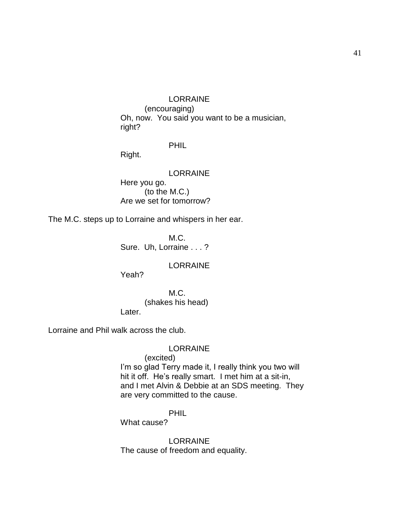## **LORRAINE**

(encouraging) Oh, now. You said you want to be a musician, right?

PHIL

Right.

LORRAINE Here you go. (to the M.C.) Are we set for tomorrow?

The M.C. steps up to Lorraine and whispers in her ear.

M.C. Sure. Uh, Lorraine . . . ?

## LORRAINE

Yeah?

M.C. (shakes his head) Later.

Lorraine and Phil walk across the club.

#### LORRAINE

(excited)

I'm so glad Terry made it, I really think you two will hit it off. He's really smart. I met him at a sit-in, and I met Alvin & Debbie at an SDS meeting. They are very committed to the cause.

## PHIL

What cause?

LORRAINE The cause of freedom and equality.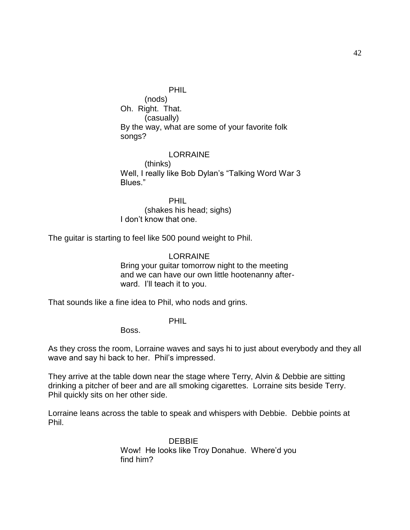PHIL (nods) Oh. Right. That. (casually) By the way, what are some of your favorite folk songs?

#### LORRAINE

(thinks) Well, I really like Bob Dylan's "Talking Word War 3 Blues."

PHIL (shakes his head; sighs) I don't know that one.

The guitar is starting to feel like 500 pound weight to Phil.

#### LORRAINE

Bring your guitar tomorrow night to the meeting and we can have our own little hootenanny afterward. I'll teach it to you.

That sounds like a fine idea to Phil, who nods and grins.

PHIL

Boss.

As they cross the room, Lorraine waves and says hi to just about everybody and they all wave and say hi back to her. Phil's impressed.

They arrive at the table down near the stage where Terry, Alvin & Debbie are sitting drinking a pitcher of beer and are all smoking cigarettes. Lorraine sits beside Terry. Phil quickly sits on her other side.

Lorraine leans across the table to speak and whispers with Debbie. Debbie points at Phil.

> **DEBBIE** Wow! He looks like Troy Donahue. Where'd you find him?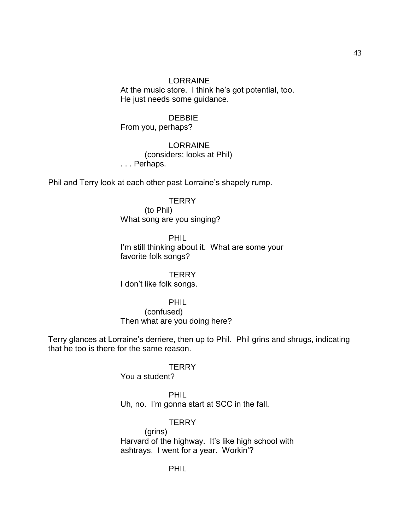LORRAINE At the music store. I think he's got potential, too. He just needs some guidance.

#### **DEBBIE**

From you, perhaps?

LORRAINE (considers; looks at Phil) . . . Perhaps.

Phil and Terry look at each other past Lorraine's shapely rump.

#### **TERRY**

(to Phil) What song are you singing?

PHIL

I'm still thinking about it. What are some your favorite folk songs?

**TERRY** 

I don't like folk songs.

#### PHIL

(confused) Then what are you doing here?

Terry glances at Lorraine's derriere, then up to Phil. Phil grins and shrugs, indicating that he too is there for the same reason.

## **TERRY**

You a student?

PHIL Uh, no. I'm gonna start at SCC in the fall.

## **TERRY**

(grins) Harvard of the highway. It's like high school with ashtrays. I went for a year. Workin'?

43

PHIL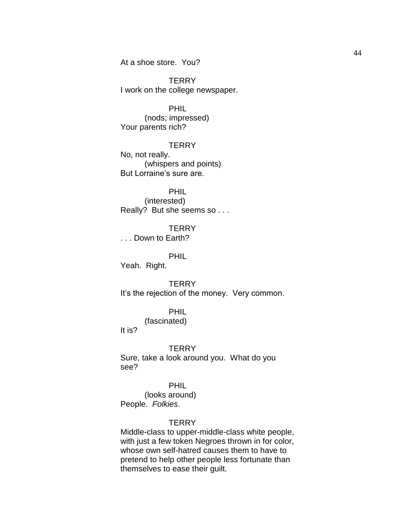At a shoe store. You?

**TERRY** I work on the college newspaper.

PHIL (nods; impressed) Your parents rich?

**TERRY** No, not really. (whispers and points) But Lorraine's sure are.

PHIL (interested) Really? But she seems so . . .

**TERRY** 

. . . Down to Earth?

PHIL

Yeah. Right.

**TERRY** It's the rejection of the money. Very common.

## PHIL

(fascinated)

It is?

#### **TERRY**

Sure, take a look around you. What do you see?

**PHIL** 

(looks around) People. *Folkies*.

#### TERRY

Middle-class to upper-middle-class white people, with just a few token Negroes thrown in for color, whose own self-hatred causes them to have to pretend to help other people less fortunate than themselves to ease their guilt.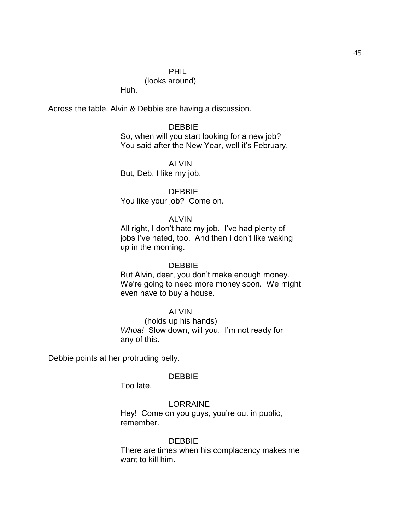## PHIL

# (looks around)

Huh.

Across the table, Alvin & Debbie are having a discussion.

## DEBBIE

So, when will you start looking for a new job? You said after the New Year, well it's February.

## ALVIN

But, Deb, I like my job.

## **DEBBIE**

You like your job? Come on.

## ALVIN

All right, I don't hate my job. I've had plenty of jobs I've hated, too. And then I don't like waking up in the morning.

#### DEBBIE

But Alvin, dear, you don't make enough money. We're going to need more money soon. We might even have to buy a house.

# ALVIN

(holds up his hands) *Whoa!* Slow down, will you. I'm not ready for any of this.

Debbie points at her protruding belly.

## DEBBIE

Too late.

## LORRAINE

Hey! Come on you guys, you're out in public, remember.

## DEBBIE

There are times when his complacency makes me want to kill him.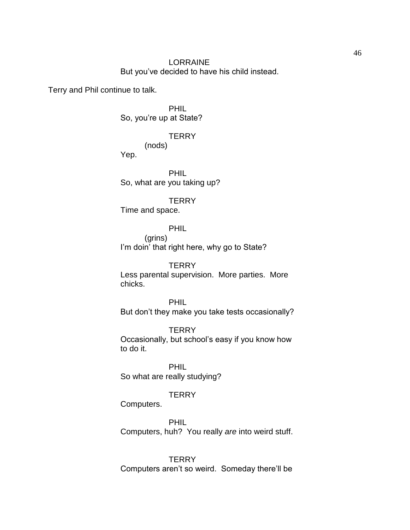#### LORRAINE

But you've decided to have his child instead.

Terry and Phil continue to talk.

PHIL So, you're up at State?

#### **TERRY**

# (nods)

Yep.

PHIL So, what are you taking up?

#### **TERRY**

Time and space.

PHIL

(grins) I'm doin' that right here, why go to State?

# **TERRY**

Less parental supervision. More parties. More chicks.

**PHIL** But don't they make you take tests occasionally?

**TERRY** Occasionally, but school's easy if you know how to do it.

PHIL So what are really studying?

## **TERRY**

Computers.

PHIL Computers, huh? You really *are* into weird stuff.

## **TERRY**

Computers aren't so weird. Someday there'll be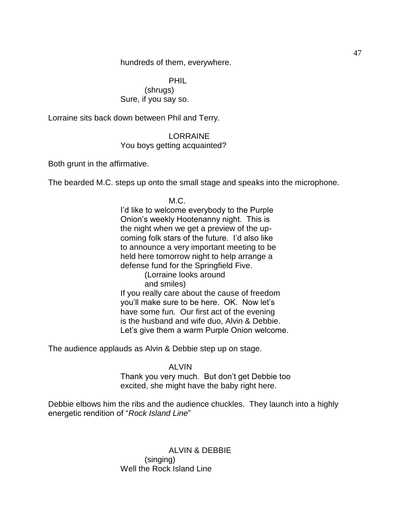hundreds of them, everywhere.

PHIL (shrugs) Sure, if you say so.

Lorraine sits back down between Phil and Terry.

# LORRAINE You boys getting acquainted?

Both grunt in the affirmative.

The bearded M.C. steps up onto the small stage and speaks into the microphone.

## M.C.

I'd like to welcome everybody to the Purple Onion's weekly Hootenanny night. This is the night when we get a preview of the upcoming folk stars of the future. I'd also like to announce a very important meeting to be held here tomorrow night to help arrange a defense fund for the Springfield Five. (Lorraine looks around and smiles) If you really care about the cause of freedom

you'll make sure to be here. OK. Now let's have some fun. Our first act of the evening is the husband and wife duo, Alvin & Debbie. Let's give them a warm Purple Onion welcome.

The audience applauds as Alvin & Debbie step up on stage.

## ALVIN

Thank you very much. But don't get Debbie too excited, she might have the baby right here.

Debbie elbows him the ribs and the audience chuckles. They launch into a highly energetic rendition of "Rock Island Line"

> ALVIN & DEBBIE (singing) Well the Rock Island Line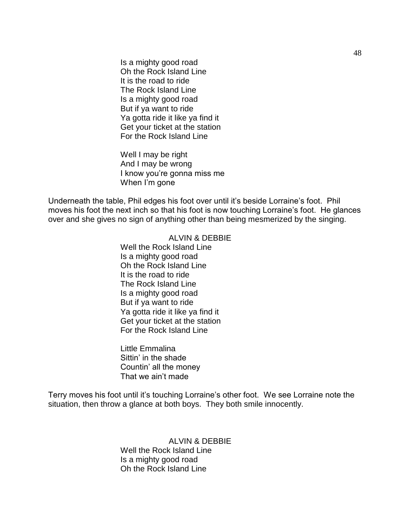Is a mighty good road Oh the Rock Island Line It is the road to ride The Rock Island Line Is a mighty good road But if ya want to ride Ya gotta ride it like ya find it Get your ticket at the station For the Rock Island Line

Well I may be right And I may be wrong I know you're gonna miss me When I'm gone

Underneath the table, Phil edges his foot over until it's beside Lorraine's foot. Phil moves his foot the next inch so that his foot is now touching Lorraine's foot. He glances over and she gives no sign of anything other than being mesmerized by the singing.

## ALVIN & DEBBIE

Well the Rock Island Line Is a mighty good road Oh the Rock Island Line It is the road to ride The Rock Island Line Is a mighty good road But if ya want to ride Ya gotta ride it like ya find it Get your ticket at the station For the Rock Island Line

Little Emmalina Sittin' in the shade Countin' all the money That we ain't made

Terry moves his foot until it's touching Lorraine's other foot. We see Lorraine note the situation, then throw a glance at both boys. They both smile innocently.

> ALVIN & DEBBIE Well the Rock Island Line Is a mighty good road Oh the Rock Island Line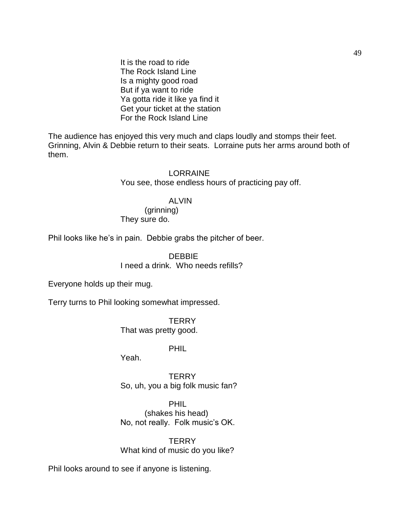It is the road to ride The Rock Island Line Is a mighty good road But if ya want to ride Ya gotta ride it like ya find it Get your ticket at the station For the Rock Island Line

The audience has enjoyed this very much and claps loudly and stomps their feet. Grinning, Alvin & Debbie return to their seats. Lorraine puts her arms around both of them.

#### LORRAINE

You see, those endless hours of practicing pay off.

## ALVIN

(grinning) They sure do.

Phil looks like he's in pain. Debbie grabs the pitcher of beer.

**DEBBIE** I need a drink. Who needs refills?

Everyone holds up their mug.

Terry turns to Phil looking somewhat impressed.

**TERRY** That was pretty good.

PHIL

Yeah.

**TERRY** So, uh, you a big folk music fan?

PHIL (shakes his head) No, not really. Folk music's OK.

**TERRY** What kind of music do you like?

Phil looks around to see if anyone is listening.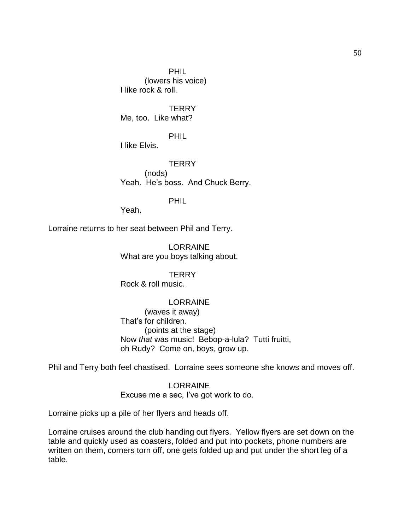PHIL (lowers his voice) I like rock & roll.

**TERRY** Me, too. Like what?

PHIL

I like Elvis.

**TERRY** (nods) Yeah. He's boss. And Chuck Berry.

PHIL

Yeah.

Lorraine returns to her seat between Phil and Terry.

LORRAINE What are you boys talking about.

**TERRY** Rock & roll music.

#### LORRAINE

(waves it away) That's for children. (points at the stage) Now *that* was music! Bebop-a-lula? Tutti fruitti, oh Rudy? Come on, boys, grow up.

Phil and Terry both feel chastised. Lorraine sees someone she knows and moves off.

LORRAINE Excuse me a sec, I've got work to do.

Lorraine picks up a pile of her flyers and heads off.

Lorraine cruises around the club handing out flyers. Yellow flyers are set down on the table and quickly used as coasters, folded and put into pockets, phone numbers are written on them, corners torn off, one gets folded up and put under the short leg of a table.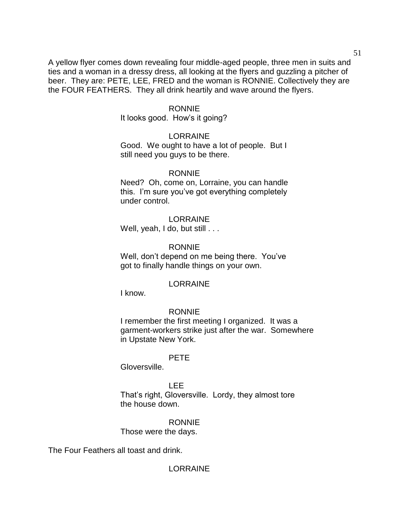A yellow flyer comes down revealing four middle-aged people, three men in suits and ties and a woman in a dressy dress, all looking at the flyers and guzzling a pitcher of beer. They are: PETE, LEE, FRED and the woman is RONNIE. Collectively they are the FOUR FEATHERS. They all drink heartily and wave around the flyers.

#### RONNIE

It looks good. How's it going?

## LORRAINE

Good. We ought to have a lot of people. But I still need you guys to be there.

#### RONNIE

Need? Oh, come on, Lorraine, you can handle this. I'm sure you've got everything completely under control.

#### LORRAINE

Well, yeah, I do, but still . . .

#### RONNIE

Well, don't depend on me being there. You've got to finally handle things on your own.

## LORRAINE

I know.

#### RONNIE

I remember the first meeting I organized. It was a garment-workers strike just after the war. Somewhere in Upstate New York.

#### PETE

Gloversville.

#### LEE

That's right, Gloversville. Lordy, they almost tore the house down.

#### RONNIE

Those were the days.

The Four Feathers all toast and drink.

51

LORRAINE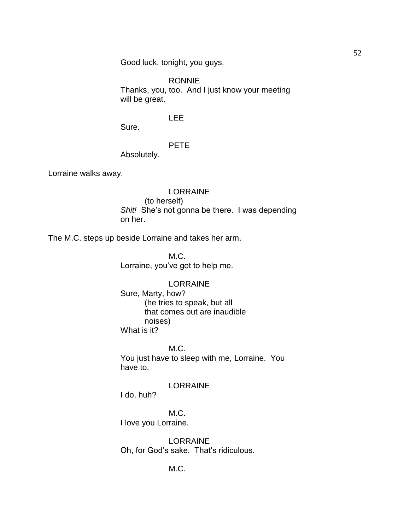Good luck, tonight, you guys.

RONNIE Thanks, you, too. And I just know your meeting will be great.

LEE

Sure.

## PETE

Absolutely.

Lorraine walks away.

#### **LORRAINE**

(to herself) *Shit!* She's not gonna be there. I was depending on her.

The M.C. steps up beside Lorraine and takes her arm.

M.C. Lorraine, you've got to help me.

#### LORRAINE

Sure, Marty, how? (he tries to speak, but all that comes out are inaudible noises) What is it?

M.C.

You just have to sleep with me, Lorraine. You have to.

## LORRAINE

I do, huh?

M.C. I love you Lorraine.

LORRAINE Oh, for God's sake. That's ridiculous.

M.C.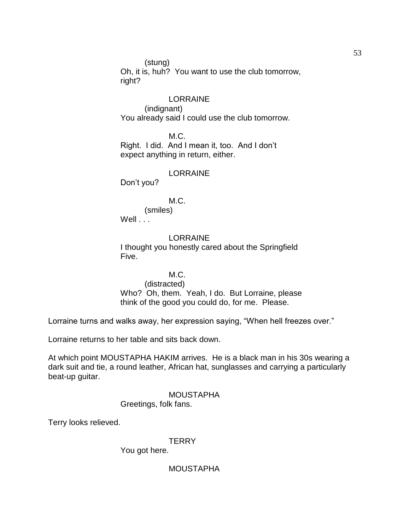(stung) Oh, it is, huh? You want to use the club tomorrow, right?

# LORRAINE

(indignant) You already said I could use the club tomorrow.

M.C. Right. I did. And I mean it, too. And I don't expect anything in return, either.

## LORRAINE

Don't you?

M.C. (smiles)

Well . . .

#### LORRAINE

I thought you honestly cared about the Springfield Five.

M.C.

(distracted)

Who? Oh, them. Yeah, I do. But Lorraine, please think of the good you could do, for me. Please.

Lorraine turns and walks away, her expression saying, "When hell freezes over."

Lorraine returns to her table and sits back down.

At which point MOUSTAPHA HAKIM arrives. He is a black man in his 30s wearing a dark suit and tie, a round leather, African hat, sunglasses and carrying a particularly beat-up guitar.

# MOUSTAPHA

Greetings, folk fans.

Terry looks relieved.

#### **TERRY**

You got here.

## MOUSTAPHA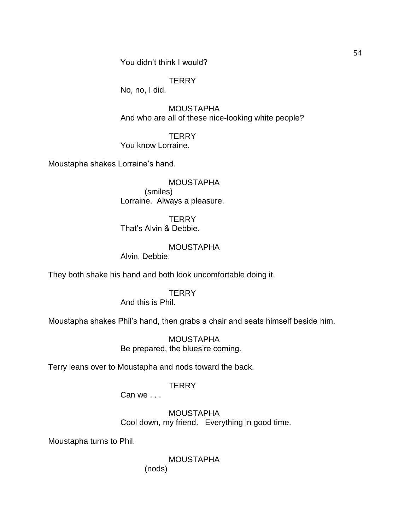You didn't think I would?

**TERRY** 

No, no, I did.

MOUSTAPHA And who are all of these nice-looking white people?

**TERRY** You know Lorraine.

Moustapha shakes Lorraine's hand.

MOUSTAPHA (smiles) Lorraine. Always a pleasure.

**TERRY** That's Alvin & Debbie.

## MOUSTAPHA

Alvin, Debbie.

They both shake his hand and both look uncomfortable doing it.

# **TERRY**

And this is Phil.

Moustapha shakes Phil's hand, then grabs a chair and seats himself beside him.

MOUSTAPHA Be prepared, the blues're coming.

Terry leans over to Moustapha and nods toward the back.

## **TERRY**

Can we . . .

MOUSTAPHA Cool down, my friend. Everything in good time.

Moustapha turns to Phil.

MOUSTAPHA (nods)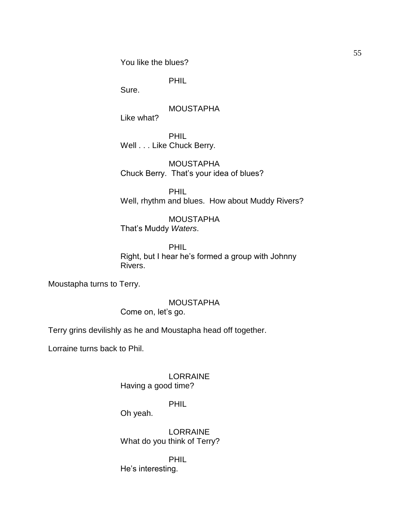You like the blues?

PHIL

Sure.

MOUSTAPHA

Like what?

PHIL Well . . . Like Chuck Berry.

MOUSTAPHA Chuck Berry. That's your idea of blues?

PHIL Well, rhythm and blues. How about Muddy Rivers?

MOUSTAPHA That's Muddy *Waters*.

PHIL Right, but I hear he's formed a group with Johnny Rivers.

Moustapha turns to Terry.

## MOUSTAPHA

Come on, let's go.

Terry grins devilishly as he and Moustapha head off together.

Lorraine turns back to Phil.

LORRAINE Having a good time?

PHIL

Oh yeah.

LORRAINE What do you think of Terry?

PHIL He's interesting.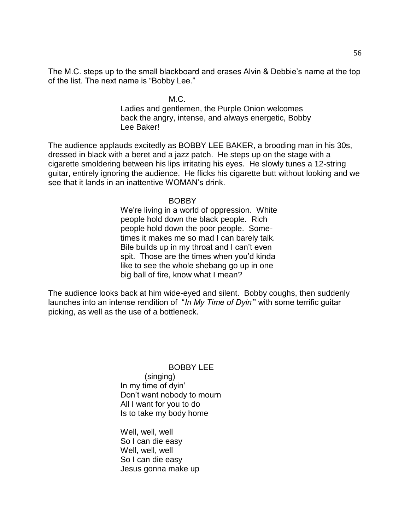The M.C. steps up to the small blackboard and erases Alvin & Debbie's name at the top of the list. The next name is "Bobby Lee."

> M.C. Ladies and gentlemen, the Purple Onion welcomes back the angry, intense, and always energetic, Bobby Lee Baker!

The audience applauds excitedly as BOBBY LEE BAKER, a brooding man in his 30s, dressed in black with a beret and a jazz patch. He steps up on the stage with a cigarette smoldering between his lips irritating his eyes. He slowly tunes a 12-string guitar, entirely ignoring the audience. He flicks his cigarette butt without looking and we see that it lands in an inattentive WOMAN's drink.

#### BOBBY

We're living in a world of oppression. White people hold down the black people. Rich people hold down the poor people. Sometimes it makes me so mad I can barely talk. Bile builds up in my throat and I can't even spit. Those are the times when you'd kinda like to see the whole shebang go up in one big ball of fire, know what I mean?

The audience looks back at him wide-eyed and silent. Bobby coughs, then suddenly launches into an intense rendition of "*In My Time of Dyin*" with some terrific quitar picking, as well as the use of a bottleneck.

#### BOBBY LEE

(singing) In my time of dyin' Don't want nobody to mourn All I want for you to do Is to take my body home

Well, well, well So I can die easy Well, well, well So I can die easy Jesus gonna make up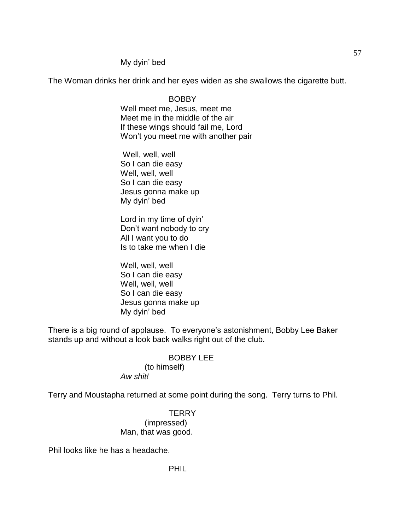My dyin' bed

The Woman drinks her drink and her eyes widen as she swallows the cigarette butt.

## **BOBBY**

Well meet me, Jesus, meet me Meet me in the middle of the air If these wings should fail me, Lord Won't you meet me with another pair

Well, well, well So I can die easy Well, well, well So I can die easy Jesus gonna make up My dyin' bed

Lord in my time of dyin' Don't want nobody to cry All I want you to do Is to take me when I die

Well, well, well So I can die easy Well, well, well So I can die easy Jesus gonna make up My dyin' bed

There is a big round of applause. To everyone's astonishment, Bobby Lee Baker stands up and without a look back walks right out of the club.

# BOBBY LEE (to himself)

*Aw shit!*

Terry and Moustapha returned at some point during the song. Terry turns to Phil.

# **TFRRY** (impressed) Man, that was good.

Phil looks like he has a headache.

57

PHIL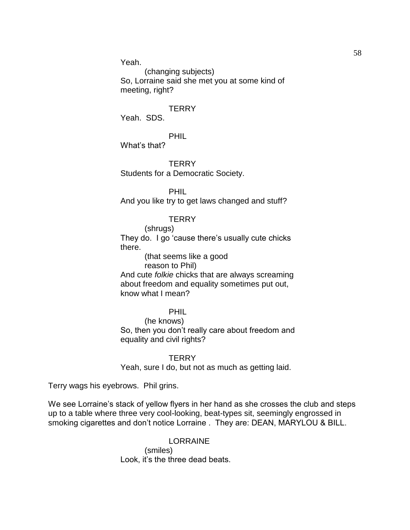Yeah.

(changing subjects) So, Lorraine said she met you at some kind of meeting, right?

#### **TERRY**

Yeah. SDS.

PHIL

What's that?

**TERRY** Students for a Democratic Society.

PHIL And you like try to get laws changed and stuff?

#### TERRY

(shrugs)

They do. I go 'cause there's usually cute chicks there.

(that seems like a good

reason to Phil)

And cute *folkie* chicks that are always screaming about freedom and equality sometimes put out, know what I mean?

## PHIL

(he knows) So, then you don't really care about freedom and equality and civil rights?

**TERRY** 

Yeah, sure I do, but not as much as getting laid.

Terry wags his eyebrows. Phil grins.

We see Lorraine's stack of yellow flyers in her hand as she crosses the club and steps up to a table where three very cool-looking, beat-types sit, seemingly engrossed in smoking cigarettes and don't notice Lorraine . They are: DEAN, MARYLOU & BILL.

#### LORRAINE

(smiles) Look, it's the three dead beats.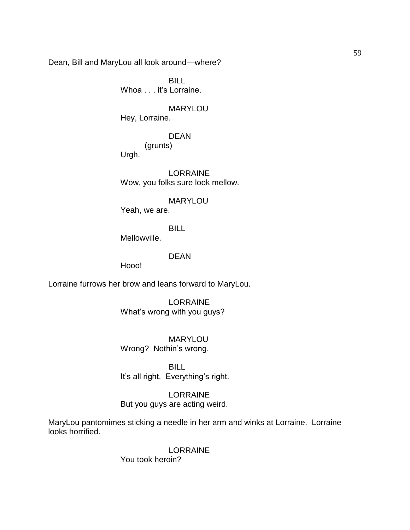Dean, Bill and MaryLou all look around—where?

BILL Whoa . . . it's Lorraine.

MARYLOU Hey, Lorraine.

# DEAN

(grunts)

Urgh.

LORRAINE Wow, you folks sure look mellow.

## MARYLOU

Yeah, we are.

BILL

Mellowville.

# DEAN

Hooo!

Lorraine furrows her brow and leans forward to MaryLou.

LORRAINE What's wrong with you guys?

MARYLOU Wrong? Nothin's wrong.

BILL It's all right. Everything's right.

# **LORRAINE**

But you guys are acting weird.

MaryLou pantomimes sticking a needle in her arm and winks at Lorraine. Lorraine looks horrified.

> LORRAINE You took heroin?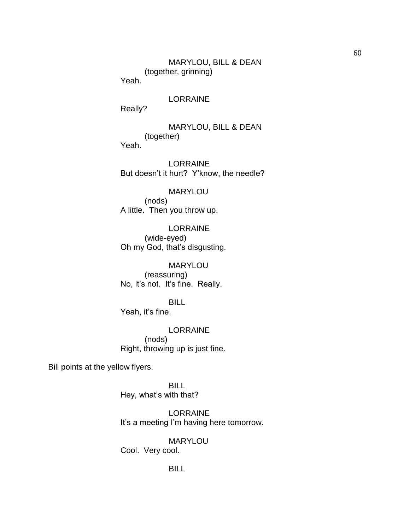# MARYLOU, BILL & DEAN (together, grinning)

Yeah.

## LORRAINE

Really?

MARYLOU, BILL & DEAN (together)

Yeah.

LORRAINE But doesn't it hurt? Y'know, the needle?

MARYLOU (nods) A little. Then you throw up.

LORRAINE (wide-eyed) Oh my God, that's disgusting.

MARYLOU (reassuring) No, it's not. It's fine. Really.

#### BILL

Yeah, it's fine.

LORRAINE (nods) Right, throwing up is just fine.

Bill points at the yellow flyers.

BILL Hey, what's with that?

LORRAINE It's a meeting I'm having here tomorrow.

## MARYLOU

Cool. Very cool.

**BILL**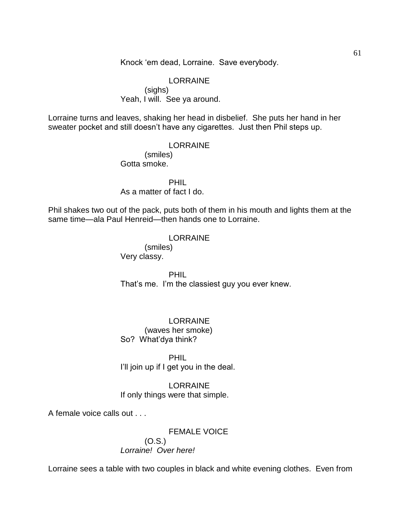Knock 'em dead, Lorraine. Save everybody.

LORRAINE (sighs) Yeah, I will. See ya around.

Lorraine turns and leaves, shaking her head in disbelief. She puts her hand in her sweater pocket and still doesn't have any cigarettes. Just then Phil steps up.

## LORRAINE

(smiles) Gotta smoke.

PHIL As a matter of fact I do.

Phil shakes two out of the pack, puts both of them in his mouth and lights them at the same time—ala Paul Henreid—then hands one to Lorraine.

## LORRAINE

(smiles) Very classy.

PHIL That's me. I'm the classiest guy you ever knew.

## LORRAINE

(waves her smoke) So? What'dya think?

PHIL I'll join up if I get you in the deal.

# LORRAINE If only things were that simple.

A female voice calls out . . .

# FEMALE VOICE (O.S.) *Lorraine! Over here!*

Lorraine sees a table with two couples in black and white evening clothes. Even from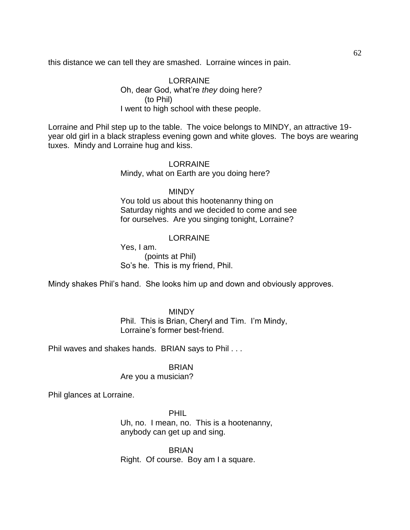this distance we can tell they are smashed. Lorraine winces in pain.

## LORRAINE Oh, dear God, what're *they* doing here? (to Phil) I went to high school with these people.

Lorraine and Phil step up to the table. The voice belongs to MINDY, an attractive 19 year old girl in a black strapless evening gown and white gloves. The boys are wearing tuxes. Mindy and Lorraine hug and kiss.

# LORRAINE Mindy, what on Earth are you doing here?

## **MINDY**

You told us about this hootenanny thing on Saturday nights and we decided to come and see for ourselves. Are you singing tonight, Lorraine?

## LORRAINE

Yes, I am. (points at Phil) So's he. This is my friend, Phil.

Mindy shakes Phil's hand. She looks him up and down and obviously approves.

#### MINDY

Phil. This is Brian, Cheryl and Tim. I'm Mindy, Lorraine's former best-friend.

Phil waves and shakes hands. BRIAN says to Phil . . .

#### BRIAN

Are you a musician?

Phil glances at Lorraine.

PHIL Uh, no. I mean, no. This is a hootenanny, anybody can get up and sing.

BRIAN Right. Of course. Boy am I a square.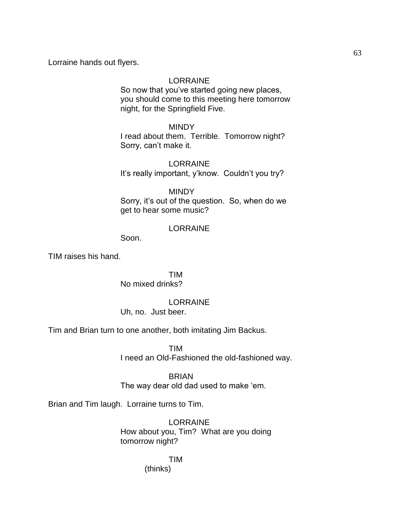Lorraine hands out flyers.

# LORRAINE

So now that you've started going new places, you should come to this meeting here tomorrow night, for the Springfield Five.

#### MINDY

I read about them. Terrible. Tomorrow night? Sorry, can't make it.

## LORRAINE

It's really important, y'know. Couldn't you try?

## MINDY

Sorry, it's out of the question. So, when do we get to hear some music?

#### LORRAINE

Soon.

TIM raises his hand.

TIM No mixed drinks?

#### LORRAINE

Uh, no. Just beer.

Tim and Brian turn to one another, both imitating Jim Backus.

TIM I need an Old-Fashioned the old-fashioned way.

**BRIAN** The way dear old dad used to make 'em.

Brian and Tim laugh. Lorraine turns to Tim.

LORRAINE How about you, Tim? What are you doing tomorrow night?

> TIM (thinks)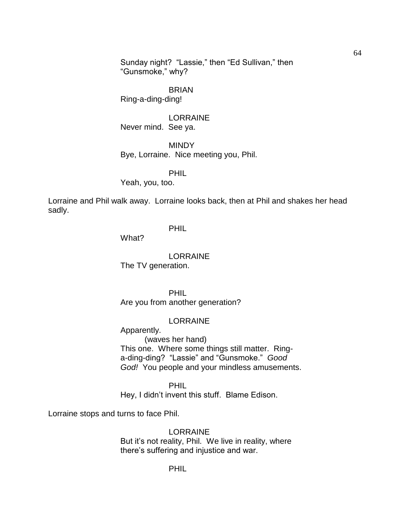Sunday night? "Lassie," then "Ed Sullivan," then "Gunsmoke," why?

BRIAN Ring-a-ding-ding!

LORRAINE Never mind. See ya.

MINDY Bye, Lorraine. Nice meeting you, Phil.

PHIL

Yeah, you, too.

Lorraine and Phil walk away. Lorraine looks back, then at Phil and shakes her head sadly.

PHIL

What?

LORRAINE The TV generation.

PHIL Are you from another generation?

## LORRAINE

Apparently. (waves her hand) This one. Where some things still matter. Ringa-ding-ding? "Lassie" and "Gunsmoke." Good *God!* You people and your mindless amusements.

PHIL Hey, I didn't invent this stuff. Blame Edison.

Lorraine stops and turns to face Phil.

LORRAINE

But it's not reality, Phil. We live in reality, where there's suffering and injustice and war.

PHIL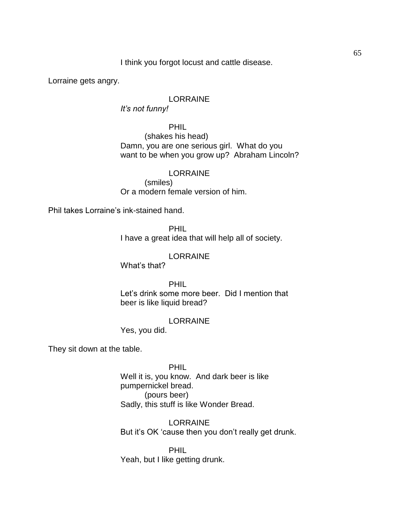I think you forgot locust and cattle disease.

Lorraine gets angry.

## LORRAINE

*It's not funny!*

PHIL (shakes his head) Damn, you are one serious girl. What do you want to be when you grow up? Abraham Lincoln?

#### LORRAINE

(smiles) Or a modern female version of him.

Phil takes Lorraine's ink-stained hand.

PHIL

I have a great idea that will help all of society.

#### LORRAINE

What's that?

PHIL

Let's drink some more beer. Did I mention that beer is like liquid bread?

#### LORRAINE

Yes, you did.

They sit down at the table.

PHIL Well it is, you know. And dark beer is like pumpernickel bread. (pours beer) Sadly, this stuff is like Wonder Bread.

LORRAINE But it's OK 'cause then you don't really get drunk.

PHIL Yeah, but I like getting drunk.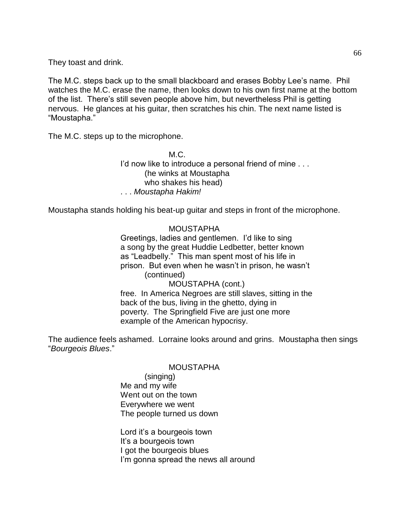They toast and drink.

The M.C. steps back up to the small blackboard and erases Bobby Lee's name. Phil watches the M.C. erase the name, then looks down to his own first name at the bottom of the list. There's still seven people above him, but nevertheless Phil is getting nervous. He glances at his guitar, then scratches his chin. The next name listed is "Moustapha."

The M.C. steps up to the microphone.

M.C. I'd now like to introduce a personal friend of mine . . . (he winks at Moustapha who shakes his head) . . . *Moustapha Hakim!*

Moustapha stands holding his beat-up guitar and steps in front of the microphone.

MOUSTAPHA Greetings, ladies and gentlemen. I'd like to sing a song by the great Huddie Ledbetter, better known as "Leadbelly." This man spent most of his life in prison. But even when he wasn't in prison, he wasn't (continued) MOUSTAPHA (cont.) free. In America Negroes are still slaves, sitting in the back of the bus, living in the ghetto, dying in poverty. The Springfield Five are just one more example of the American hypocrisy.

The audience feels ashamed. Lorraine looks around and grins. Moustapha then sings ―*Bourgeois Blues*.‖

## MOUSTAPHA

(singing) Me and my wife Went out on the town Everywhere we went The people turned us down

Lord it's a bourgeois town It's a bourgeois town I got the bourgeois blues I'm gonna spread the news all around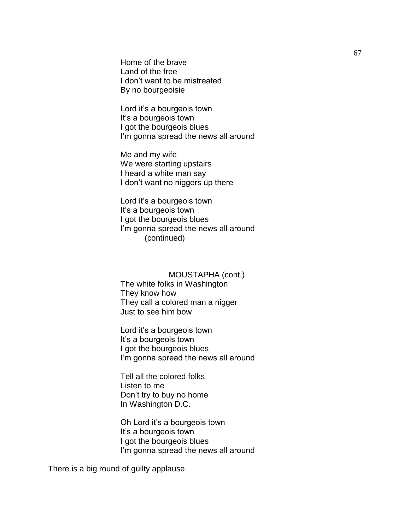Home of the brave Land of the free I don't want to be mistreated By no bourgeoisie

Lord it's a bourgeois town It's a bourgeois town I got the bourgeois blues I'm gonna spread the news all around

Me and my wife We were starting upstairs I heard a white man say I don't want no niggers up there

Lord it's a bourgeois town It's a bourgeois town I got the bourgeois blues I'm gonna spread the news all around (continued)

#### MOUSTAPHA (cont.)

The white folks in Washington They know how They call a colored man a nigger Just to see him bow

Lord it's a bourgeois town It's a bourgeois town I got the bourgeois blues I'm gonna spread the news all around

Tell all the colored folks Listen to me Don't try to buy no home In Washington D.C.

Oh Lord it's a bourgeois town It's a bourgeois town I got the bourgeois blues I'm gonna spread the news all around

There is a big round of guilty applause.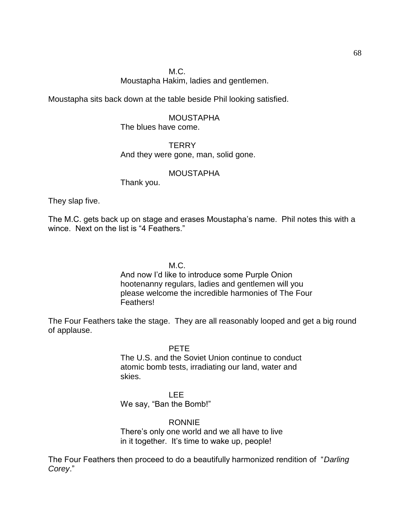# M.C. Moustapha Hakim, ladies and gentlemen.

Moustapha sits back down at the table beside Phil looking satisfied.

## MOUSTAPHA

The blues have come.

**TFRRY** And they were gone, man, solid gone.

## MOUSTAPHA

Thank you.

They slap five.

The M.C. gets back up on stage and erases Moustapha's name. Phil notes this with a wince. Next on the list is "4 Feathers."

M.C.

And now I'd like to introduce some Purple Onion hootenanny regulars, ladies and gentlemen will you please welcome the incredible harmonies of The Four Feathers!

The Four Feathers take the stage. They are all reasonably looped and get a big round of applause.

#### PETE

The U.S. and the Soviet Union continue to conduct atomic bomb tests, irradiating our land, water and skies.

LEE

We say, "Ban the Bomb!"

RONNIE

There's only one world and we all have to live in it together. It's time to wake up, people!

The Four Feathers then proceed to do a beautifully harmonized rendition of "Darling" *Corey*.‖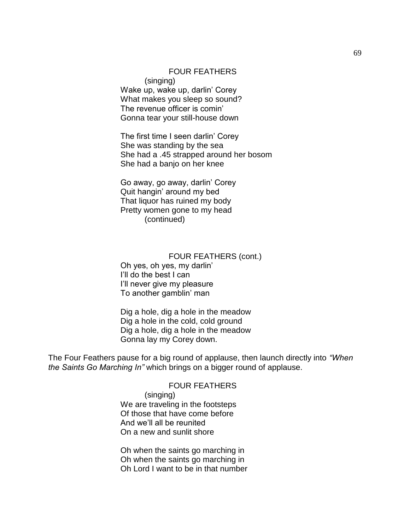# FOUR FEATHERS

(singing) Wake up, wake up, darlin' Corey What makes you sleep so sound? The revenue officer is comin' Gonna tear your still-house down

The first time I seen darlin' Corey She was standing by the sea She had a .45 strapped around her bosom She had a banjo on her knee

Go away, go away, darlin' Corey Quit hangin' around my bed That liquor has ruined my body Pretty women gone to my head (continued)

#### FOUR FEATHERS (cont.)

Oh yes, oh yes, my darlin' I'll do the best I can I'll never give my pleasure To another gamblin' man

Dig a hole, dig a hole in the meadow Dig a hole in the cold, cold ground Dig a hole, dig a hole in the meadow Gonna lay my Corey down.

The Four Feathers pause for a big round of applause, then launch directly into *"When the Saints Go Marching In"* which brings on a bigger round of applause.

#### FOUR FEATHERS

(singing) We are traveling in the footsteps Of those that have come before And we'll all be reunited On a new and sunlit shore

Oh when the saints go marching in Oh when the saints go marching in Oh Lord I want to be in that number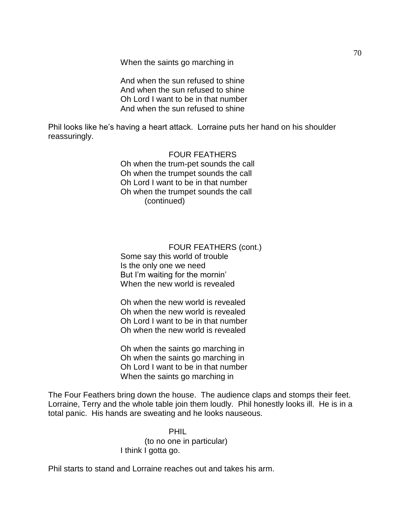When the saints go marching in

And when the sun refused to shine And when the sun refused to shine Oh Lord I want to be in that number And when the sun refused to shine

Phil looks like he's having a heart attack. Lorraine puts her hand on his shoulder reassuringly.

## FOUR FEATHERS

Oh when the trum-pet sounds the call Oh when the trumpet sounds the call Oh Lord I want to be in that number Oh when the trumpet sounds the call (continued)

## FOUR FEATHERS (cont.)

Some say this world of trouble Is the only one we need But I'm waiting for the mornin' When the new world is revealed

Oh when the new world is revealed Oh when the new world is revealed Oh Lord I want to be in that number Oh when the new world is revealed

Oh when the saints go marching in Oh when the saints go marching in Oh Lord I want to be in that number When the saints go marching in

The Four Feathers bring down the house. The audience claps and stomps their feet. Lorraine, Terry and the whole table join them loudly. Phil honestly looks ill. He is in a total panic. His hands are sweating and he looks nauseous.

> PHIL (to no one in particular) I think I gotta go.

Phil starts to stand and Lorraine reaches out and takes his arm.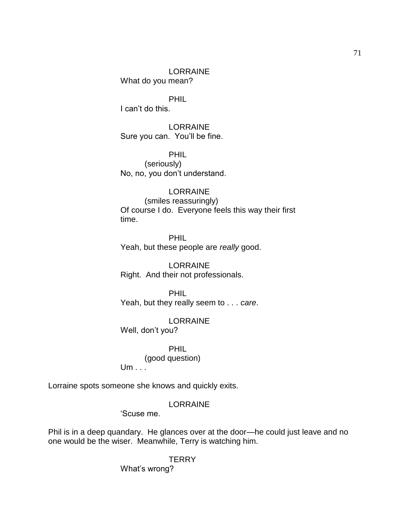## LORRAINE

What do you mean?

PHIL

I can't do this.

LORRAINE Sure you can. You'll be fine.

PHIL (seriously) No, no, you don't understand.

LORRAINE (smiles reassuringly) Of course I do. Everyone feels this way their first time.

PHIL Yeah, but these people are *really* good.

LORRAINE Right. And their not professionals.

PHIL Yeah, but they really seem to . . . *care*.

LORRAINE Well, don't you?

> PHIL (good question)

 $Um...$ 

Lorraine spots someone she knows and quickly exits.

#### LORRAINE

‗Scuse me.

Phil is in a deep quandary. He glances over at the door—he could just leave and no one would be the wiser. Meanwhile, Terry is watching him.

**TERRY** 

What's wrong?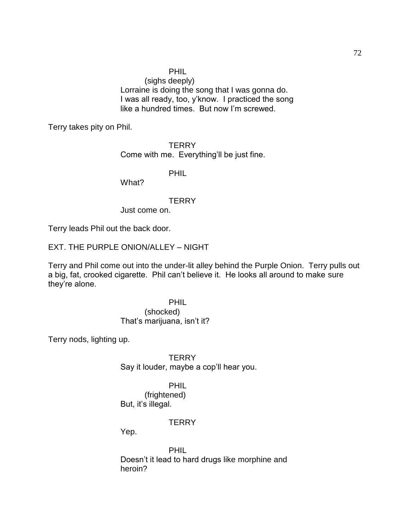# PHIL

(sighs deeply) Lorraine is doing the song that I was gonna do. I was all ready, too, y'know. I practiced the song like a hundred times. But now I'm screwed.

Terry takes pity on Phil.

**TERRY** Come with me. Everything'll be just fine.

PHIL

What?

## **TERRY**

Just come on.

Terry leads Phil out the back door.

# EXT. THE PURPLE ONION/ALLEY – NIGHT

Terry and Phil come out into the under-lit alley behind the Purple Onion. Terry pulls out a big, fat, crooked cigarette. Phil can't believe it. He looks all around to make sure they're alone.

> PHIL (shocked) That's marijuana, isn't it?

Terry nods, lighting up.

**TERRY** Say it louder, maybe a cop'll hear you.

# PHIL (frightened) But, it's illegal.

# **TERRY**

Yep.

PHIL Doesn't it lead to hard drugs like morphine and heroin?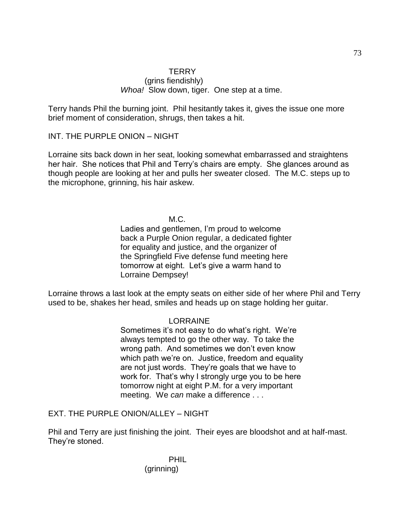## **TERRY** (grins fiendishly) *Whoa!* Slow down, tiger. One step at a time.

Terry hands Phil the burning joint. Phil hesitantly takes it, gives the issue one more brief moment of consideration, shrugs, then takes a hit.

## INT. THE PURPLE ONION – NIGHT

Lorraine sits back down in her seat, looking somewhat embarrassed and straightens her hair. She notices that Phil and Terry's chairs are empty. She glances around as though people are looking at her and pulls her sweater closed. The M.C. steps up to the microphone, grinning, his hair askew.

M.C.

Ladies and gentlemen, I'm proud to welcome back a Purple Onion regular, a dedicated fighter for equality and justice, and the organizer of the Springfield Five defense fund meeting here tomorrow at eight. Let's give a warm hand to Lorraine Dempsey!

Lorraine throws a last look at the empty seats on either side of her where Phil and Terry used to be, shakes her head, smiles and heads up on stage holding her guitar.

### LORRAINE

Sometimes it's not easy to do what's right. We're always tempted to go the other way. To take the wrong path. And sometimes we don't even know which path we're on. Justice, freedom and equality are not just words. They're goals that we have to work for. That's why I strongly urge you to be here tomorrow night at eight P.M. for a very important meeting. We *can* make a difference . . .

## EXT. THE PURPLE ONION/ALLEY – NIGHT

Phil and Terry are just finishing the joint. Their eyes are bloodshot and at half-mast. They're stoned.

> PHIL (grinning)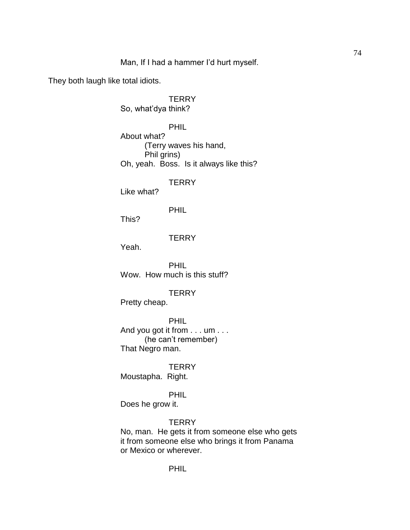Man, If I had a hammer I'd hurt myself.

They both laugh like total idiots.

**TERRY** So, what'dya think?

PHIL About what?

(Terry waves his hand, Phil grins) Oh, yeah. Boss. Is it always like this?

#### **TERRY**

Like what?

PHIL

This?

**TERRY** 

Yeah.

PHIL Wow. How much is this stuff?

**TERRY** 

Pretty cheap.

PHIL And you got it from . . . um . . . (he can't remember) That Negro man.

**TERRY** Moustapha. Right.

PHIL

Does he grow it.

#### **TERRY**

No, man. He gets it from someone else who gets it from someone else who brings it from Panama or Mexico or wherever.

PHIL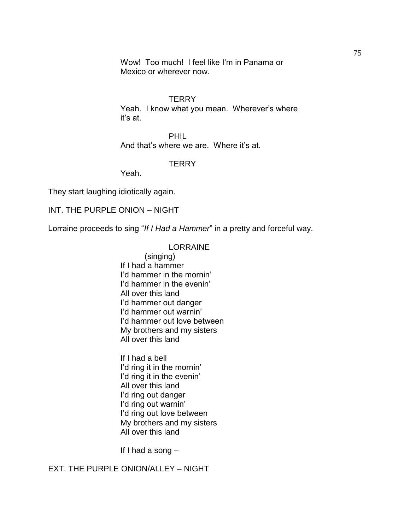Wow! Too much! I feel like I'm in Panama or Mexico or wherever now.

#### **TFRRY**

Yeah. I know what you mean. Wherever's where it's at.

PHIL And that's where we are. Where it's at.

#### **TERRY**

Yeah.

They start laughing idiotically again.

INT. THE PURPLE ONION – NIGHT

Lorraine proceeds to sing "If I Had a Hammer" in a pretty and forceful way.

LORRAINE

(singing) If I had a hammer I'd hammer in the mornin' I'd hammer in the evenin' All over this land I'd hammer out danger I'd hammer out warnin' I'd hammer out love between My brothers and my sisters All over this land

If I had a bell I'd ring it in the mornin' I'd ring it in the evenin' All over this land I'd ring out danger I'd ring out warnin' I'd ring out love between My brothers and my sisters All over this land

If I had a song –

EXT. THE PURPLE ONION/ALLEY – NIGHT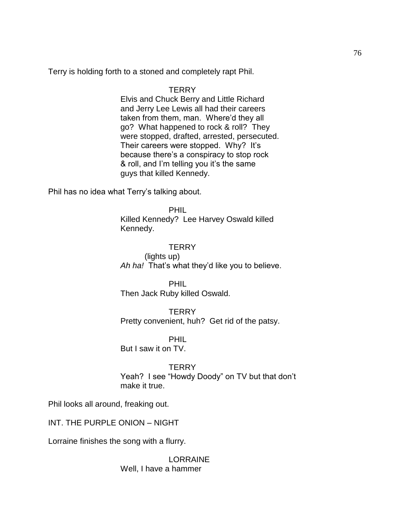Terry is holding forth to a stoned and completely rapt Phil.

#### **TERRY**

Elvis and Chuck Berry and Little Richard and Jerry Lee Lewis all had their careers taken from them, man. Where'd they all go? What happened to rock & roll? They were stopped, drafted, arrested, persecuted. Their careers were stopped. Why? It's because there's a conspiracy to stop rock & roll, and I'm telling you it's the same guys that killed Kennedy.

Phil has no idea what Terry's talking about.

PHIL Killed Kennedy? Lee Harvey Oswald killed Kennedy.

#### **TERRY**

(lights up) *Ah ha!* That's what they'd like you to believe.

PHIL Then Jack Ruby killed Oswald.

**TERRY** Pretty convenient, huh? Get rid of the patsy.

PHIL But I saw it on TV.

**TERRY** Yeah? I see "Howdy Doody" on TV but that don't make it true.

Phil looks all around, freaking out.

INT. THE PURPLE ONION – NIGHT

Lorraine finishes the song with a flurry.

LORRAINE Well, I have a hammer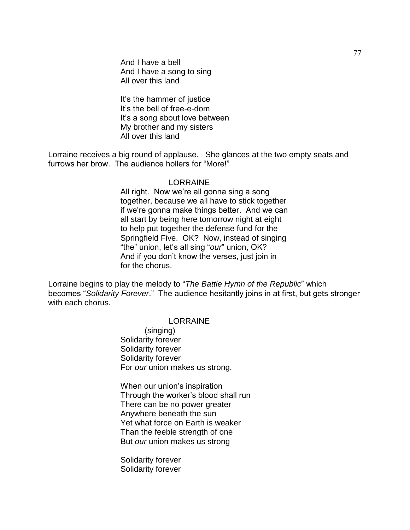And I have a bell And I have a song to sing All over this land

It's the hammer of justice It's the bell of free-e-dom It's a song about love between My brother and my sisters All over this land

Lorraine receives a big round of applause. She glances at the two empty seats and furrows her brow. The audience hollers for "More!"

#### LORRAINE

All right. Now we're all gonna sing a song together, because we all have to stick together if we're gonna make things better. And we can all start by being here tomorrow night at eight to help put together the defense fund for the Springfield Five. OK? Now, instead of singing "the" union, let's all sing "our" union, OK? And if you don't know the verses, just join in for the chorus.

Lorraine begins to play the melody to "The Battle Hymn of the Republic" which becomes "Solidarity Forever." The audience hesitantly joins in at first, but gets stronger with each chorus.

#### LORRAINE

(singing) Solidarity forever Solidarity forever Solidarity forever For *our* union makes us strong.

When our union's inspiration Through the worker's blood shall run There can be no power greater Anywhere beneath the sun Yet what force on Earth is weaker Than the feeble strength of one But *our* union makes us strong

Solidarity forever Solidarity forever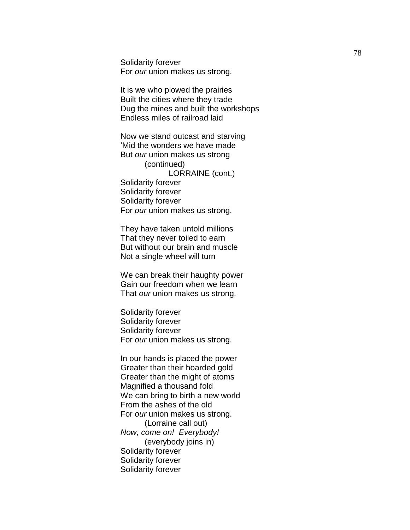Solidarity forever For *our* union makes us strong.

It is we who plowed the prairies Built the cities where they trade Dug the mines and built the workshops Endless miles of railroad laid

Now we stand outcast and starving ‗Mid the wonders we have made But *our* union makes us strong (continued) LORRAINE (cont.) Solidarity forever Solidarity forever Solidarity forever For *our* union makes us strong.

They have taken untold millions That they never toiled to earn But without our brain and muscle Not a single wheel will turn

We can break their haughty power Gain our freedom when we learn That *our* union makes us strong.

Solidarity forever Solidarity forever Solidarity forever For *our* union makes us strong.

In our hands is placed the power Greater than their hoarded gold Greater than the might of atoms Magnified a thousand fold We can bring to birth a new world From the ashes of the old For *our* union makes us strong. (Lorraine call out) *Now, come on! Everybody!* (everybody joins in) Solidarity forever Solidarity forever Solidarity forever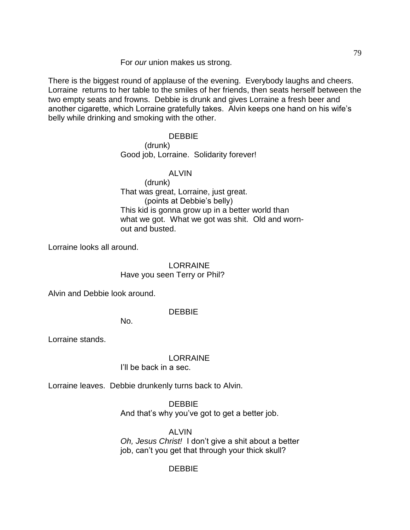For *our* union makes us strong.

There is the biggest round of applause of the evening. Everybody laughs and cheers. Lorraine returns to her table to the smiles of her friends, then seats herself between the two empty seats and frowns. Debbie is drunk and gives Lorraine a fresh beer and another cigarette, which Lorraine gratefully takes. Alvin keeps one hand on his wife's belly while drinking and smoking with the other.

> **DEBBIE** (drunk) Good job, Lorraine. Solidarity forever!

#### ALVIN

(drunk) That was great, Lorraine, just great. (points at Debbie's belly) This kid is gonna grow up in a better world than what we got. What we got was shit. Old and wornout and busted.

Lorraine looks all around.

LORRAINE Have you seen Terry or Phil?

Alvin and Debbie look around.

### **DEBBIE**

No.

Lorraine stands.

### LORRAINE

I'll be back in a sec.

Lorraine leaves. Debbie drunkenly turns back to Alvin.

### DEBBIE

And that's why you've got to get a better job.

ALVIN *Oh, Jesus Christ!* I don't give a shit about a better job, can't you get that through your thick skull?

## **DEBBIE**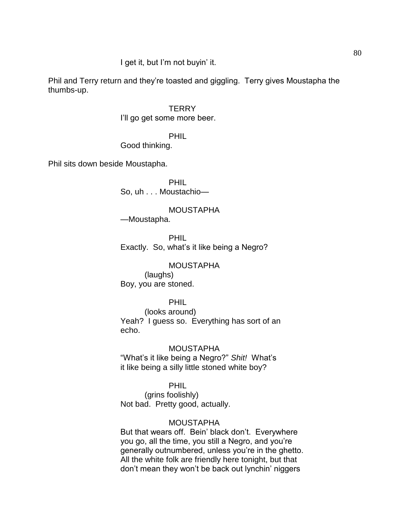I get it, but I'm not buyin' it.

Phil and Terry return and they're toasted and giggling. Terry gives Moustapha the thumbs-up.

## **TERRY**

I'll go get some more beer.

## PHIL

## Good thinking.

Phil sits down beside Moustapha.

PHIL So, uh . . . Moustachio—

### MOUSTAPHA

—Moustapha.

PHIL Exactly. So, what's it like being a Negro?

#### MOUSTAPHA

(laughs) Boy, you are stoned.

### PHIL

(looks around) Yeah? I guess so. Everything has sort of an echo.

#### MOUSTAPHA

―What's it like being a Negro?‖ *Shit!* What's it like being a silly little stoned white boy?

### PHIL

(grins foolishly) Not bad. Pretty good, actually.

### MOUSTAPHA

But that wears off. Bein' black don't. Everywhere you go, all the time, you still a Negro, and you're generally outnumbered, unless you're in the ghetto. All the white folk are friendly here tonight, but that don't mean they won't be back out lynchin' niggers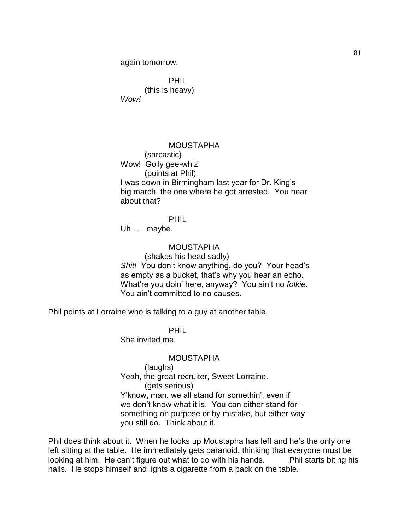again tomorrow.

PHIL (this is heavy) *Wow!*

# MOUSTAPHA

(sarcastic) Wow! Golly gee-whiz! (points at Phil) I was down in Birmingham last year for Dr. King's big march, the one where he got arrested. You hear about that?

PHIL

Uh . . . maybe.

## MOUSTAPHA

(shakes his head sadly) *Shit!* You don't know anything, do you? Your head's as empty as a bucket, that's why you hear an echo. What're you doin' here, anyway? You ain't no *folkie*. You ain't committed to no causes.

Phil points at Lorraine who is talking to a guy at another table.

PHIL She invited me.

#### MOUSTAPHA

(laughs) Yeah, the great recruiter, Sweet Lorraine. (gets serious) Y'know, man, we all stand for somethin', even if we don't know what it is. You can either stand for something on purpose or by mistake, but either way you still do. Think about it.

Phil does think about it. When he looks up Moustapha has left and he's the only one left sitting at the table. He immediately gets paranoid, thinking that everyone must be looking at him. He can't figure out what to do with his hands. Phil starts biting his nails. He stops himself and lights a cigarette from a pack on the table.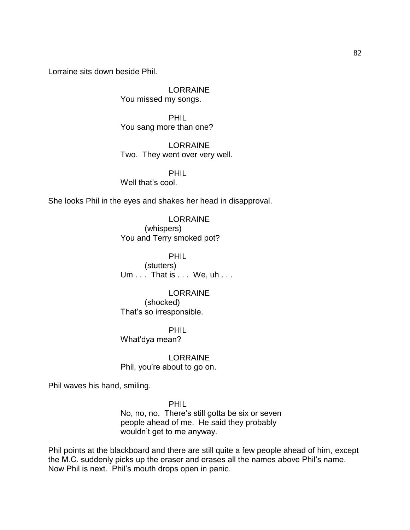Lorraine sits down beside Phil.

LORRAINE You missed my songs.

PHIL You sang more than one?

LORRAINE Two. They went over very well.

PHIL Well that's cool.

She looks Phil in the eyes and shakes her head in disapproval.

LORRAINE (whispers) You and Terry smoked pot?

PHIL (stutters) Um . . . That is . . . We, uh . . .

LORRAINE (shocked) That's so irresponsible.

PHIL What'dya mean?

LORRAINE Phil, you're about to go on.

Phil waves his hand, smiling.

PHIL

No, no, no. There's still gotta be six or seven people ahead of me. He said they probably wouldn't get to me anyway.

Phil points at the blackboard and there are still quite a few people ahead of him, except the M.C. suddenly picks up the eraser and erases all the names above Phil's name. Now Phil is next. Phil's mouth drops open in panic.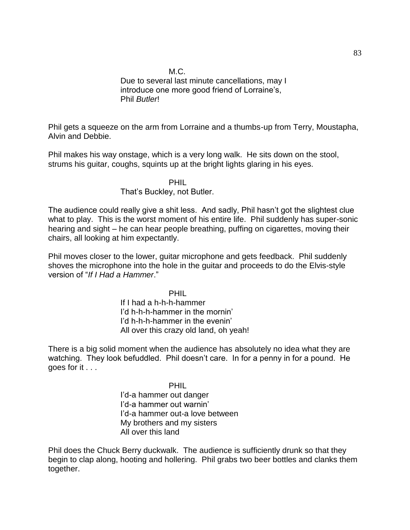### M.C. Due to several last minute cancellations, may I introduce one more good friend of Lorraine's, Phil *Butler*!

Phil gets a squeeze on the arm from Lorraine and a thumbs-up from Terry, Moustapha, Alvin and Debbie.

Phil makes his way onstage, which is a very long walk. He sits down on the stool, strums his guitar, coughs, squints up at the bright lights glaring in his eyes.

PHIL

### That's Buckley, not Butler.

The audience could really give a shit less. And sadly, Phil hasn't got the slightest clue what to play. This is the worst moment of his entire life. Phil suddenly has super-sonic hearing and sight – he can hear people breathing, puffing on cigarettes, moving their chairs, all looking at him expectantly.

Phil moves closer to the lower, guitar microphone and gets feedback. Phil suddenly shoves the microphone into the hole in the guitar and proceeds to do the Elvis-style version of "If I Had a Hammer."

PHIL

If I had a h-h-h-hammer I'd h-h-h-hammer in the mornin' I'd h-h-h-hammer in the evenin' All over this crazy old land, oh yeah!

There is a big solid moment when the audience has absolutely no idea what they are watching. They look befuddled. Phil doesn't care. In for a penny in for a pound. He goes for it . . .

PHIL

I'd-a hammer out danger I'd-a hammer out warnin' I'd-a hammer out-a love between My brothers and my sisters All over this land

Phil does the Chuck Berry duckwalk. The audience is sufficiently drunk so that they begin to clap along, hooting and hollering. Phil grabs two beer bottles and clanks them together.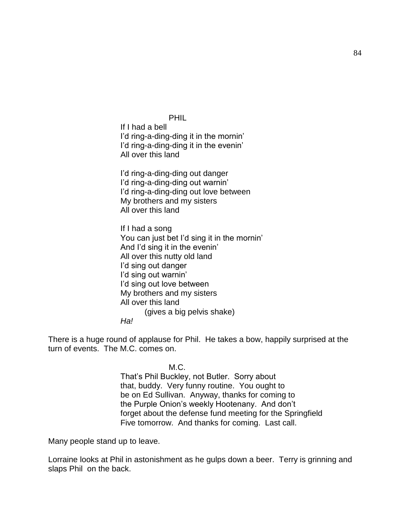PHIL

If I had a bell I'd ring-a-ding-ding it in the mornin' I'd ring-a-ding-ding it in the evenin' All over this land

I'd ring-a-ding-ding out danger I'd ring-a-ding-ding out warnin' I'd ring-a-ding-ding out love between My brothers and my sisters All over this land

If I had a song You can just bet I'd sing it in the mornin' And I'd sing it in the evenin' All over this nutty old land I'd sing out danger I'd sing out warnin' I'd sing out love between My brothers and my sisters All over this land (gives a big pelvis shake) *Ha!*

There is a huge round of applause for Phil. He takes a bow, happily surprised at the turn of events. The M.C. comes on.

M.C.

That's Phil Buckley, not Butler. Sorry about that, buddy. Very funny routine. You ought to be on Ed Sullivan. Anyway, thanks for coming to the Purple Onion's weekly Hootenany. And don't forget about the defense fund meeting for the Springfield Five tomorrow. And thanks for coming. Last call.

Many people stand up to leave.

Lorraine looks at Phil in astonishment as he gulps down a beer. Terry is grinning and slaps Phil on the back.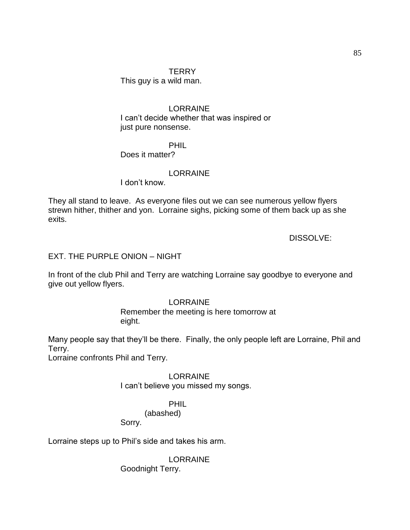## **TERRY**

This guy is a wild man.

LORRAINE I can't decide whether that was inspired or just pure nonsense.

# PHIL

Does it matter?

## LORRAINE

I don't know.

They all stand to leave. As everyone files out we can see numerous yellow flyers strewn hither, thither and yon. Lorraine sighs, picking some of them back up as she exits.

DISSOLVE:

## EXT. THE PURPLE ONION – NIGHT

In front of the club Phil and Terry are watching Lorraine say goodbye to everyone and give out yellow flyers.

## LORRAINE

Remember the meeting is here tomorrow at eight.

Many people say that they'll be there. Finally, the only people left are Lorraine, Phil and Terry.

Lorraine confronts Phil and Terry.

## LORRAINE

I can't believe you missed my songs.

## PHIL

(abashed)

Sorry.

Lorraine steps up to Phil's side and takes his arm.

LORRAINE Goodnight Terry.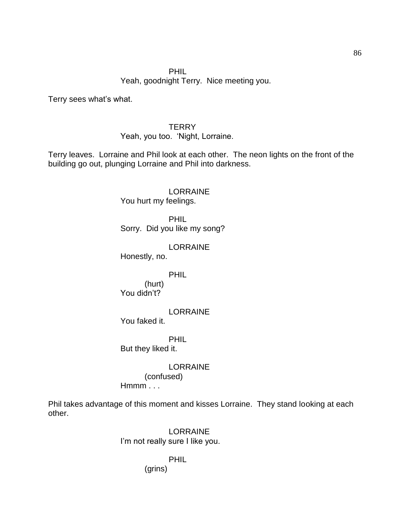## PHIL Yeah, goodnight Terry. Nice meeting you.

Terry sees what's what.

#### **TERRY**

Yeah, you too. 'Night, Lorraine.

Terry leaves. Lorraine and Phil look at each other. The neon lights on the front of the building go out, plunging Lorraine and Phil into darkness.

> LORRAINE You hurt my feelings.

PHIL Sorry. Did you like my song?

LORRAINE

Honestly, no.

PHIL

(hurt) You didn't?

## LORRAINE

You faked it.

PHIL But they liked it.

LORRAINE

(confused)

Hmmm . . .

Phil takes advantage of this moment and kisses Lorraine. They stand looking at each other.

> LORRAINE I'm not really sure I like you.

> > PHIL (grins)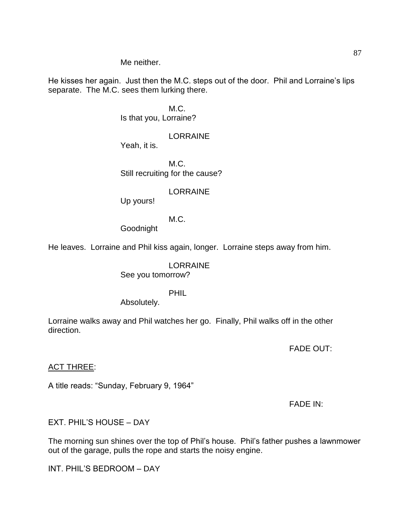Me neither.

He kisses her again. Just then the M.C. steps out of the door. Phil and Lorraine's lips separate. The M.C. sees them lurking there.

> M.C. Is that you, Lorraine?

> > LORRAINE

Yeah, it is.

M.C. Still recruiting for the cause?

## LORRAINE

Up yours!

M.C.

Goodnight

He leaves. Lorraine and Phil kiss again, longer. Lorraine steps away from him.

## LORRAINE

See you tomorrow?

## PHIL

Absolutely.

Lorraine walks away and Phil watches her go. Finally, Phil walks off in the other direction.

FADE OUT:

## ACT THREE:

A title reads: "Sunday, February 9, 1964"

FADE IN:

EXT. PHIL'S HOUSE – DAY

The morning sun shines over the top of Phil's house. Phil's father pushes a lawnmower out of the garage, pulls the rope and starts the noisy engine.

INT. PHIL'S BEDROOM – DAY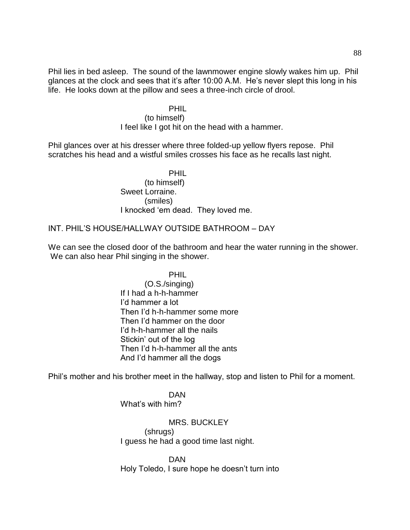Phil lies in bed asleep. The sound of the lawnmower engine slowly wakes him up. Phil glances at the clock and sees that it's after 10:00 A.M. He's never slept this long in his life. He looks down at the pillow and sees a three-inch circle of drool.

#### PHIL

## (to himself)

I feel like I got hit on the head with a hammer.

Phil glances over at his dresser where three folded-up yellow flyers repose. Phil scratches his head and a wistful smiles crosses his face as he recalls last night.

> PHIL (to himself) Sweet Lorraine. (smiles) I knocked 'em dead. They loved me.

#### INT. PHIL'S HOUSE/HALLWAY OUTSIDE BATHROOM – DAY

We can see the closed door of the bathroom and hear the water running in the shower. We can also hear Phil singing in the shower.

PHIL

(O.S./singing) If I had a h-h-hammer I'd hammer a lot Then I'd h-h-hammer some more Then I'd hammer on the door I'd h-h-hammer all the nails Stickin' out of the log Then I'd h-h-hammer all the ants And I'd hammer all the dogs

Phil's mother and his brother meet in the hallway, stop and listen to Phil for a moment.

DAN What's with him?

MRS. BUCKLEY (shrugs) I guess he had a good time last night.

DAN Holy Toledo, I sure hope he doesn't turn into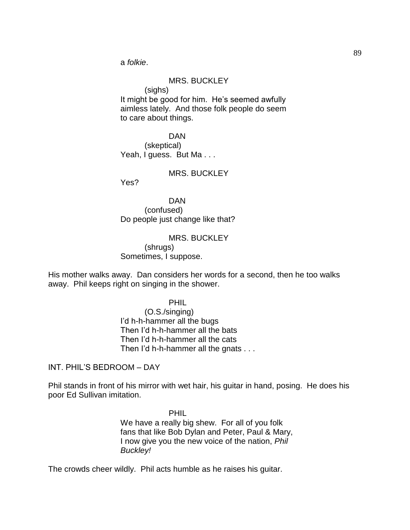a *folkie*.

### MRS. BUCKLEY

(sighs)

It might be good for him. He's seemed awfully aimless lately. And those folk people do seem to care about things.

DAN (skeptical) Yeah, I guess. But Ma...

### MRS. BUCKLEY

Yes?

DAN (confused) Do people just change like that?

MRS. BUCKLEY (shrugs) Sometimes, I suppose.

His mother walks away. Dan considers her words for a second, then he too walks away. Phil keeps right on singing in the shower.

PHIL

(O.S./singing) I'd h-h-hammer all the bugs Then I'd h-h-hammer all the bats Then I'd h-h-hammer all the cats Then I'd h-h-hammer all the gnats . . .

INT. PHIL'S BEDROOM – DAY

Phil stands in front of his mirror with wet hair, his guitar in hand, posing. He does his poor Ed Sullivan imitation.

> PHIL We have a really big shew. For all of you folk fans that like Bob Dylan and Peter, Paul & Mary, I now give you the new voice of the nation, *Phil Buckley!*

The crowds cheer wildly. Phil acts humble as he raises his guitar.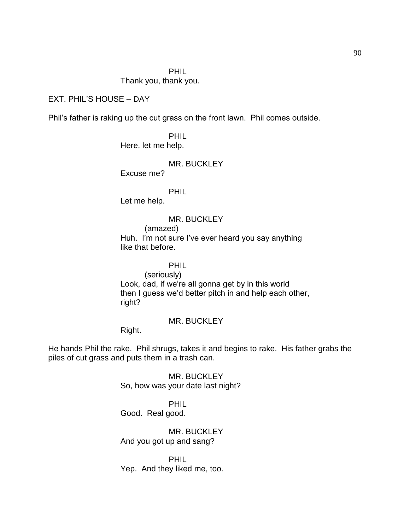#### PHIL

## Thank you, thank you.

### EXT. PHIL'S HOUSE – DAY

Phil's father is raking up the cut grass on the front lawn. Phil comes outside.

PHIL Here, let me help.

#### MR. BUCKLEY

Excuse me?

#### PHIL

Let me help.

#### MR. BUCKLEY

(amazed)

Huh. I'm not sure I've ever heard you say anything like that before.

#### PHIL

(seriously) Look, dad, if we're all gonna get by in this world then I guess we'd better pitch in and help each other, right?

### MR. BUCKLEY

Right.

He hands Phil the rake. Phil shrugs, takes it and begins to rake. His father grabs the piles of cut grass and puts them in a trash can.

> MR. BUCKLEY So, how was your date last night?

PHIL Good. Real good.

### MR. BUCKLEY And you got up and sang?

PHIL Yep. And they liked me, too.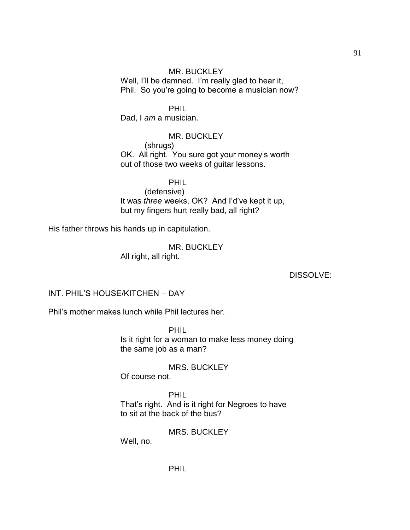MR. BUCKLEY Well, I'll be damned. I'm really glad to hear it,

Phil. So you're going to become a musician now?

PHIL Dad, I *am* a musician.

### MR. BUCKLEY

(shrugs) OK. All right. You sure got your money's worth out of those two weeks of guitar lessons.

PHIL

(defensive) It was *three* weeks, OK? And I'd've kept it up, but my fingers hurt really bad, all right?

His father throws his hands up in capitulation.

MR. BUCKLEY All right, all right.

DISSOLVE:

INT. PHIL'S HOUSE/KITCHEN – DAY

Phil's mother makes lunch while Phil lectures her.

PHIL Is it right for a woman to make less money doing the same job as a man?

MRS. BUCKLEY

Of course not.

PHIL That's right. And is it right for Negroes to have to sit at the back of the bus?

MRS. BUCKLEY

Well, no.

PHIL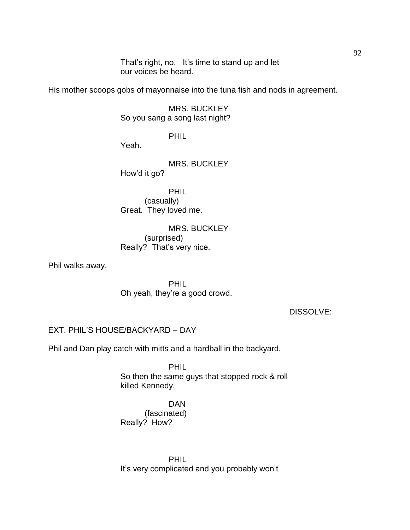That's right, no. It's time to stand up and let our voices be heard.

His mother scoops gobs of mayonnaise into the tuna fish and nods in agreement.

MRS. BUCKLEY So you sang a song last night?

PHIL

Yeah.

MRS. BUCKLEY How'd it go?

PHIL (casually) Great. They loved me.

MRS. BUCKLEY (surprised) Really? That's very nice.

Phil walks away.

PHIL Oh yeah, they're a good crowd.

DISSOLVE:

#### EXT. PHIL'S HOUSE/BACKYARD – DAY

Phil and Dan play catch with mitts and a hardball in the backyard.

PHIL So then the same guys that stopped rock & roll killed Kennedy.

DAN

(fascinated) Really? How?

PHIL It's very complicated and you probably won't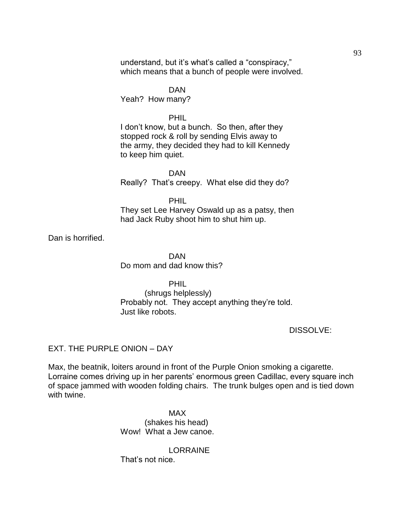understand, but it's what's called a "conspiracy," which means that a bunch of people were involved.

DAN Yeah? How many?

### PHIL

I don't know, but a bunch. So then, after they stopped rock & roll by sending Elvis away to the army, they decided they had to kill Kennedy to keep him quiet.

DAN Really? That's creepy. What else did they do?

PHIL They set Lee Harvey Oswald up as a patsy, then had Jack Ruby shoot him to shut him up.

Dan is horrified.

DAN Do mom and dad know this?

PHIL

(shrugs helplessly) Probably not. They accept anything they're told. Just like robots.

### DISSOLVE:

#### EXT. THE PURPLE ONION – DAY

Max, the beatnik, loiters around in front of the Purple Onion smoking a cigarette. Lorraine comes driving up in her parents' enormous green Cadillac, every square inch of space jammed with wooden folding chairs. The trunk bulges open and is tied down with twine.

> MAX (shakes his head) Wow! What a Jew canoe.

LORRAINE That's not nice.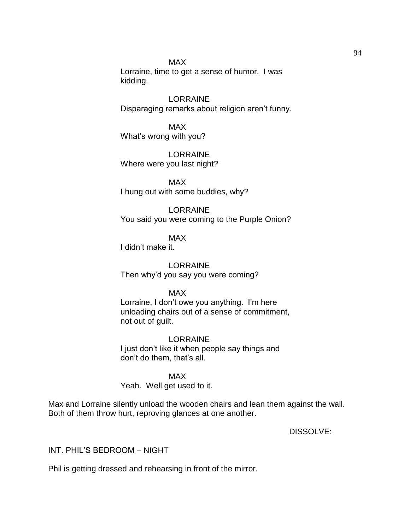MAX Lorraine, time to get a sense of humor. I was kidding.

LORRAINE Disparaging remarks about religion aren't funny.

MAX What's wrong with you?

LORRAINE Where were you last night?

MAX I hung out with some buddies, why?

LORRAINE You said you were coming to the Purple Onion?

MAX I didn't make it.

LORRAINE Then why'd you say you were coming?

MAX Lorraine, I don't owe you anything. I'm here unloading chairs out of a sense of commitment, not out of guilt.

LORRAINE I just don't like it when people say things and don't do them, that's all.

MAX

Yeah. Well get used to it.

Max and Lorraine silently unload the wooden chairs and lean them against the wall. Both of them throw hurt, reproving glances at one another.

DISSOLVE:

INT. PHIL'S BEDROOM – NIGHT

Phil is getting dressed and rehearsing in front of the mirror.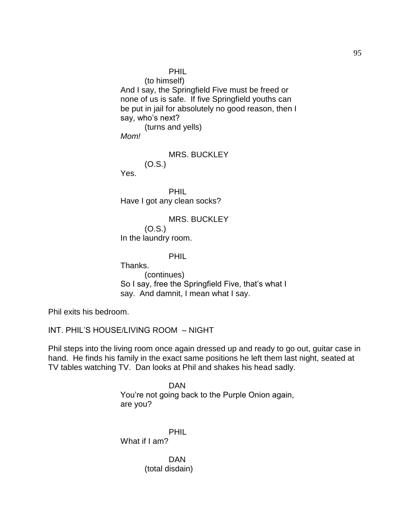## PHIL

(to himself) And I say, the Springfield Five must be freed or none of us is safe. If five Springfield youths can be put in jail for absolutely no good reason, then I say, who's next?

(turns and yells) *Mom!*

### MRS. BUCKLEY

(O.S.)

Yes.

PHIL Have I got any clean socks?

MRS. BUCKLEY (O.S.) In the laundry room.

PHIL

Thanks. (continues) So I say, free the Springfield Five, that's what I say. And damnit, I mean what I say.

Phil exits his bedroom.

INT. PHIL'S HOUSE/LIVING ROOM – NIGHT

Phil steps into the living room once again dressed up and ready to go out, guitar case in hand. He finds his family in the exact same positions he left them last night, seated at TV tables watching TV. Dan looks at Phil and shakes his head sadly.

> DAN You're not going back to the Purple Onion again, are you?

PHIL What if I am?

> DAN (total disdain)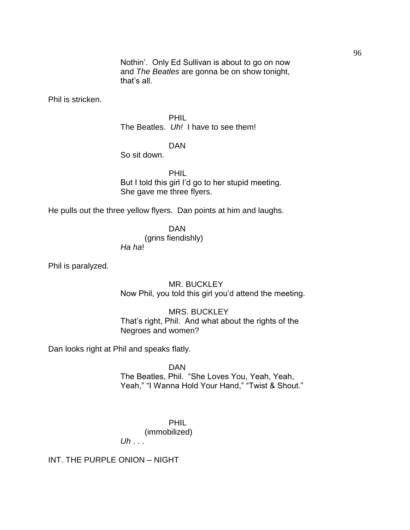Nothin'. Only Ed Sullivan is about to go on now and *The Beatles* are gonna be on show tonight, that's all.

Phil is stricken.

### PHIL

The Beatles. *Uh!* I have to see them!

DAN

So sit down.

PHIL But I told this girl I'd go to her stupid meeting. She gave me three flyers.

He pulls out the three yellow flyers. Dan points at him and laughs.

**DAN** 

(grins fiendishly) *Ha ha*!

Phil is paralyzed.

MR. BUCKLEY Now Phil, you told this girl you'd attend the meeting.

MRS. BUCKLEY That's right, Phil. And what about the rights of the Negroes and women?

Dan looks right at Phil and speaks flatly.

DAN The Beatles, Phil. "She Loves You, Yeah, Yeah, Yeah," "I Wanna Hold Your Hand," "Twist & Shout."

## PHIL (immobilized)

*Uh* . . .

INT. THE PURPLE ONION – NIGHT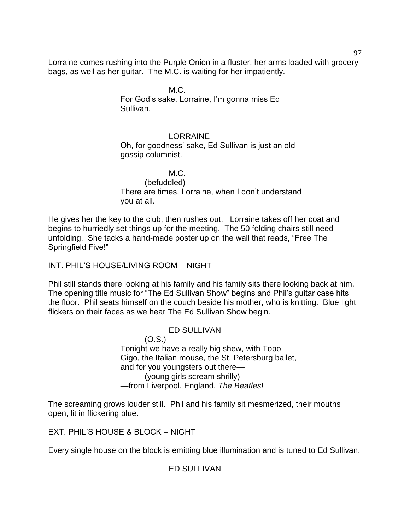Lorraine comes rushing into the Purple Onion in a fluster, her arms loaded with grocery bags, as well as her guitar. The M.C. is waiting for her impatiently.

> $M.C.$ For God's sake, Lorraine, I'm gonna miss Ed Sullivan.

## LORRAINE Oh, for goodness' sake, Ed Sullivan is just an old gossip columnist.

M.C. (befuddled) There are times, Lorraine, when I don't understand you at all.

He gives her the key to the club, then rushes out. Lorraine takes off her coat and begins to hurriedly set things up for the meeting. The 50 folding chairs still need unfolding. She tacks a hand-made poster up on the wall that reads, "Free The Springfield Five!"

## INT. PHIL'S HOUSE/LIVING ROOM – NIGHT

Phil still stands there looking at his family and his family sits there looking back at him. The opening title music for "The Ed Sullivan Show" begins and Phil's guitar case hits the floor. Phil seats himself on the couch beside his mother, who is knitting. Blue light flickers on their faces as we hear The Ed Sullivan Show begin.

> ED SULLIVAN (O.S.) Tonight we have a really big shew, with Topo Gigo, the Italian mouse, the St. Petersburg ballet, and for you youngsters out there— (young girls scream shrilly) —from Liverpool, England, *The Beatles*!

The screaming grows louder still. Phil and his family sit mesmerized, their mouths open, lit in flickering blue.

EXT. PHIL'S HOUSE & BLOCK – NIGHT

Every single house on the block is emitting blue illumination and is tuned to Ed Sullivan.

97

ED SULLIVAN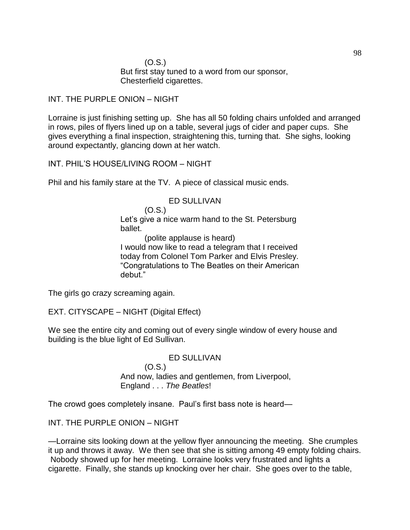(O.S.) But first stay tuned to a word from our sponsor, Chesterfield cigarettes.

### INT. THE PURPLE ONION – NIGHT

Lorraine is just finishing setting up. She has all 50 folding chairs unfolded and arranged in rows, piles of flyers lined up on a table, several jugs of cider and paper cups. She gives everything a final inspection, straightening this, turning that. She sighs, looking around expectantly, glancing down at her watch.

INT. PHIL'S HOUSE/LIVING ROOM – NIGHT

Phil and his family stare at the TV. A piece of classical music ends.

#### ED SULLIVAN

(O.S.)

Let's give a nice warm hand to the St. Petersburg ballet.

(polite applause is heard) I would now like to read a telegram that I received today from Colonel Tom Parker and Elvis Presley. ―Congratulations to The Beatles on their American debut."

The girls go crazy screaming again.

EXT. CITYSCAPE – NIGHT (Digital Effect)

We see the entire city and coming out of every single window of every house and building is the blue light of Ed Sullivan.

> ED SULLIVAN (O.S.) And now, ladies and gentlemen, from Liverpool, England . . . *The Beatles*!

The crowd goes completely insane. Paul's first bass note is heard—

INT. THE PURPLE ONION – NIGHT

—Lorraine sits looking down at the yellow flyer announcing the meeting. She crumples it up and throws it away. We then see that she is sitting among 49 empty folding chairs. Nobody showed up for her meeting. Lorraine looks very frustrated and lights a cigarette. Finally, she stands up knocking over her chair. She goes over to the table,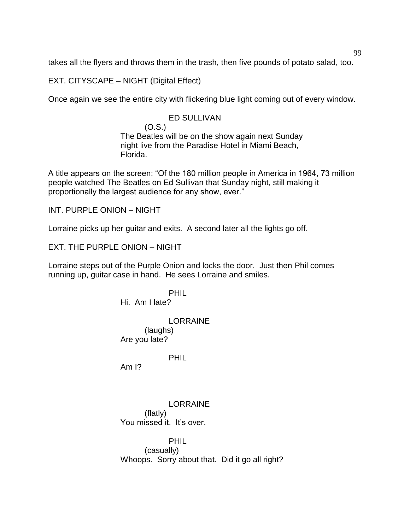takes all the flyers and throws them in the trash, then five pounds of potato salad, too.

EXT. CITYSCAPE – NIGHT (Digital Effect)

Once again we see the entire city with flickering blue light coming out of every window.

### ED SULLIVAN

(O.S.) The Beatles will be on the show again next Sunday night live from the Paradise Hotel in Miami Beach, Florida.

A title appears on the screen: "Of the 180 million people in America in 1964, 73 million people watched The Beatles on Ed Sullivan that Sunday night, still making it proportionally the largest audience for any show, ever."

INT. PURPLE ONION – NIGHT

Lorraine picks up her guitar and exits. A second later all the lights go off.

EXT. THE PURPLE ONION – NIGHT

Lorraine steps out of the Purple Onion and locks the door. Just then Phil comes running up, guitar case in hand. He sees Lorraine and smiles.

> PHIL Hi. Am I late?

### LORRAINE (laughs) Are you late?

#### PHIL

Am I?

#### LORRAINE (flatly) You missed it. It's over.

PHIL (casually) Whoops. Sorry about that. Did it go all right?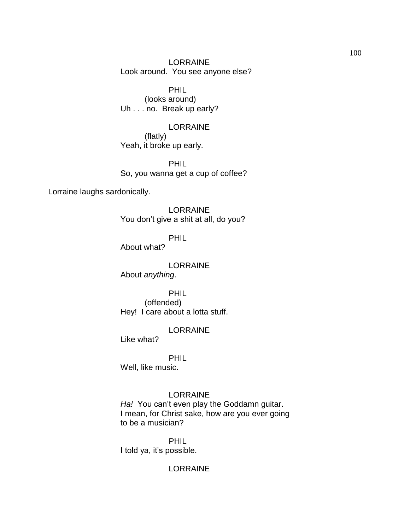LORRAINE Look around. You see anyone else?

PHIL (looks around) Uh . . . no. Break up early?

LORRAINE (flatly) Yeah, it broke up early.

PHIL So, you wanna get a cup of coffee?

Lorraine laughs sardonically.

LORRAINE You don't give a shit at all, do you?

PHIL

About what?

LORRAINE

About *anything*.

PHIL

(offended) Hey! I care about a lotta stuff.

LORRAINE

Like what?

PHIL Well, like music.

### LORRAINE

*Ha!* You can't even play the Goddamn guitar. I mean, for Christ sake, how are you ever going to be a musician?

PHIL I told ya, it's possible.

LORRAINE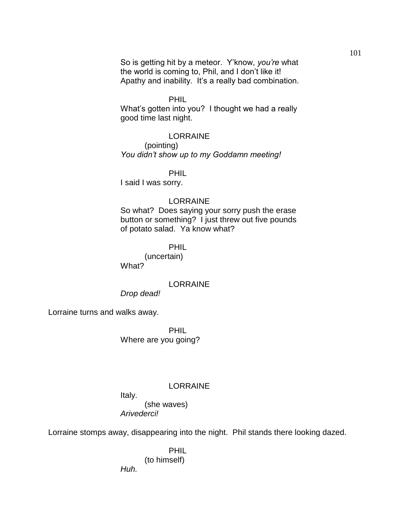So is getting hit by a meteor. Y'know, *you're* what the world is coming to, Phil, and I don't like it! Apathy and inability. It's a really bad combination.

#### PHIL

What's gotten into you? I thought we had a really good time last night.

#### LORRAINE

(pointing) *You didn't show up to my Goddamn meeting!*

#### PHIL

I said I was sorry.

#### LORRAINE

So what? Does saying your sorry push the erase button or something? I just threw out five pounds of potato salad. Ya know what?

PHIL

(uncertain) What?

#### LORRAINE

*Drop dead!*

Lorraine turns and walks away.

PHIL Where are you going?

#### LORRAINE

Italy.

(she waves) *Arivederci!*

Lorraine stomps away, disappearing into the night. Phil stands there looking dazed.

PHIL (to himself) *Huh.*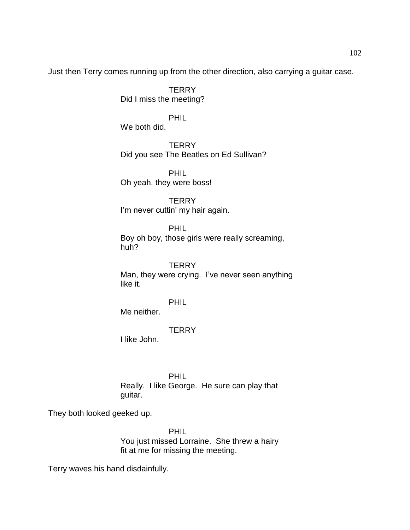Just then Terry comes running up from the other direction, also carrying a guitar case.

**TERRY** Did I miss the meeting?

PHIL We both did.

**TFRRY** Did you see The Beatles on Ed Sullivan?

PHIL Oh yeah, they were boss!

**TERRY** I'm never cuttin' my hair again.

PHIL Boy oh boy, those girls were really screaming,

huh?

**TERRY** 

Man, they were crying. I've never seen anything like it.

**PHIL** 

Me neither.

**TERRY** 

I like John.

PHIL Really. I like George. He sure can play that guitar.

They both looked geeked up.

PHIL You just missed Lorraine. She threw a hairy fit at me for missing the meeting.

Terry waves his hand disdainfully.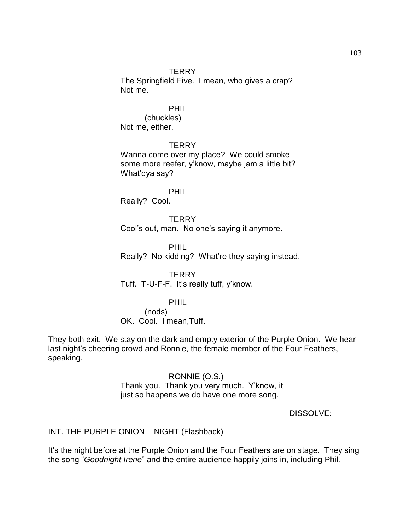#### **TERRY**

The Springfield Five. I mean, who gives a crap? Not me.

PHIL (chuckles) Not me, either.

#### **TFRRY**

Wanna come over my place? We could smoke some more reefer, y'know, maybe jam a little bit? What'dya say?

#### PHIL

Really? Cool.

TERRY Cool's out, man. No one's saying it anymore.

**PHIL** Really? No kidding? What're they saying instead.

## **TERRY**

Tuff. T-U-F-F. It's really tuff, y'know.

#### PHIL

(nods) OK. Cool. I mean,Tuff.

They both exit. We stay on the dark and empty exterior of the Purple Onion. We hear last night's cheering crowd and Ronnie, the female member of the Four Feathers, speaking.

## RONNIE (O.S.)

Thank you. Thank you very much. Y'know, it just so happens we do have one more song.

DISSOLVE:

#### INT. THE PURPLE ONION – NIGHT (Flashback)

It's the night before at the Purple Onion and the Four Feathers are on stage. They sing the song "Goodnight Irene" and the entire audience happily joins in, including Phil.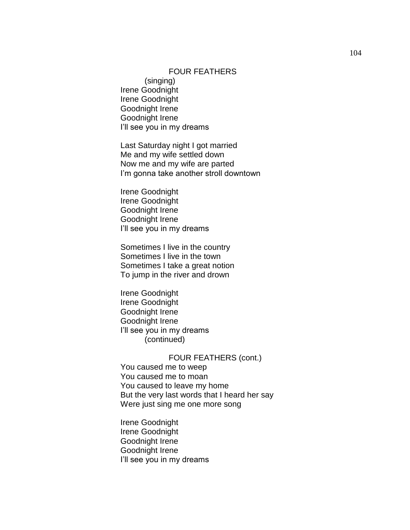### FOUR FEATHERS

(singing) Irene Goodnight Irene Goodnight Goodnight Irene Goodnight Irene I'll see you in my dreams

Last Saturday night I got married Me and my wife settled down Now me and my wife are parted I'm gonna take another stroll downtown

Irene Goodnight Irene Goodnight Goodnight Irene Goodnight Irene I'll see you in my dreams

Sometimes I live in the country Sometimes I live in the town Sometimes I take a great notion To jump in the river and drown

Irene Goodnight Irene Goodnight Goodnight Irene Goodnight Irene I'll see you in my dreams (continued)

#### FOUR FEATHERS (cont.)

You caused me to weep You caused me to moan You caused to leave my home But the very last words that I heard her say Were just sing me one more song

Irene Goodnight Irene Goodnight Goodnight Irene Goodnight Irene I'll see you in my dreams